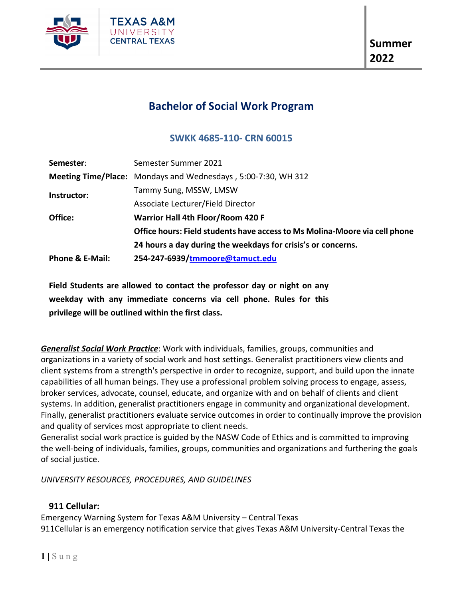



# **Bachelor of Social Work Program**

# **SWKK 4685-110- CRN 60015**

| Semester:                  | Semester Summer 2021                                                       |
|----------------------------|----------------------------------------------------------------------------|
|                            | Meeting Time/Place: Mondays and Wednesdays, 5:00-7:30, WH 312              |
| Instructor:                | Tammy Sung, MSSW, LMSW                                                     |
|                            | Associate Lecturer/Field Director                                          |
| Office:                    | <b>Warrior Hall 4th Floor/Room 420 F</b>                                   |
|                            | Office hours: Field students have access to Ms Molina-Moore via cell phone |
|                            | 24 hours a day during the weekdays for crisis's or concerns.               |
| <b>Phone &amp; E-Mail:</b> | 254-247-6939/tmmoore@tamuct.edu                                            |

**Field Students are allowed to contact the professor day or night on any weekday with any immediate concerns via cell phone. Rules for this privilege will be outlined within the first class.**

*Generalist Social Work Practice*: Work with individuals, families, groups, communities and organizations in a variety of social work and host settings. Generalist practitioners view clients and client systems from a strength's perspective in order to recognize, support, and build upon the innate capabilities of all human beings. They use a professional problem solving process to engage, assess, broker services, advocate, counsel, educate, and organize with and on behalf of clients and client systems. In addition, generalist practitioners engage in community and organizational development. Finally, generalist practitioners evaluate service outcomes in order to continually improve the provision and quality of services most appropriate to client needs.

Generalist social work practice is guided by the NASW Code of Ethics and is committed to improving the well-being of individuals, families, groups, communities and organizations and furthering the goals of social justice.

*UNIVERSITY RESOURCES, PROCEDURES, AND GUIDELINES*

# **911 Cellular:**

Emergency Warning System for Texas A&M University – Central Texas 911Cellular is an emergency notification service that gives Texas A&M University-Central Texas the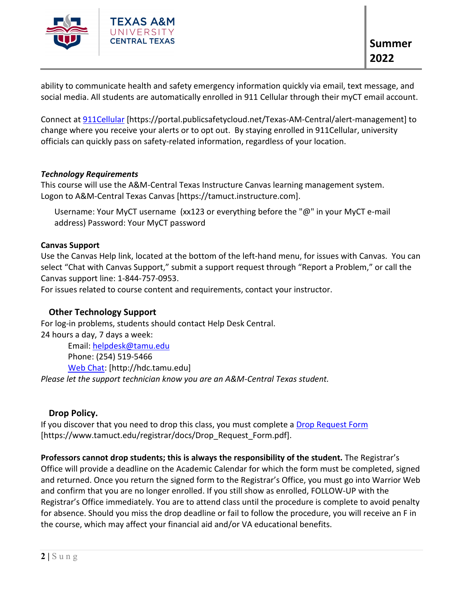

ability to communicate health and safety emergency information quickly via email, text message, and social media. All students are automatically enrolled in 911 Cellular through their myCT email account.

Connect at [911Cellular](https://portal.publicsafetycloud.net/Texas-AM-Central/alert-management) [https://portal.publicsafetycloud.net/Texas-AM-Central/alert-management] to change where you receive your alerts or to opt out. By staying enrolled in 911Cellular, university officials can quickly pass on safety-related information, regardless of your location.

## *Technology Requirements*

This course will use the A&M-Central Texas Instructure Canvas learning management system. Logon to A&M-Central Texas Canvas [https://tamuct.instructure.com].

Username: Your MyCT username (xx123 or everything before the "@" in your MyCT e-mail address) Password: Your MyCT password

## **Canvas Support**

Use the Canvas Help link, located at the bottom of the left-hand menu, for issues with Canvas. You can select "Chat with Canvas Support," submit a support request through "Report a Problem," or call the Canvas support line: 1-844-757-0953.

For issues related to course content and requirements, contact your instructor.

## **Other Technology Support**

For log-in problems, students should contact Help Desk Central. 24 hours a day, 7 days a week: Email: [helpdesk@tamu.edu](mailto:helpdesk@tamu.edu)

Phone: (254) 519-5466 [Web Chat:](http://hdc.tamu.edu/) [http://hdc.tamu.edu]

*Please let the support technician know you are an A&M-Central Texas student.*

## **Drop Policy.**

If you discover that you need to drop this class, you must complete a [Drop Request Form](https://www.tamuct.edu/registrar/docs/Drop_Request_Form.pdf) [https://www.tamuct.edu/registrar/docs/Drop\_Request\_Form.pdf].

**Professors cannot drop students; this is always the responsibility of the student.** The Registrar's Office will provide a deadline on the Academic Calendar for which the form must be completed, signed and returned. Once you return the signed form to the Registrar's Office, you must go into Warrior Web and confirm that you are no longer enrolled. If you still show as enrolled, FOLLOW-UP with the Registrar's Office immediately. You are to attend class until the procedure is complete to avoid penalty for absence. Should you miss the drop deadline or fail to follow the procedure, you will receive an F in the course, which may affect your financial aid and/or VA educational benefits.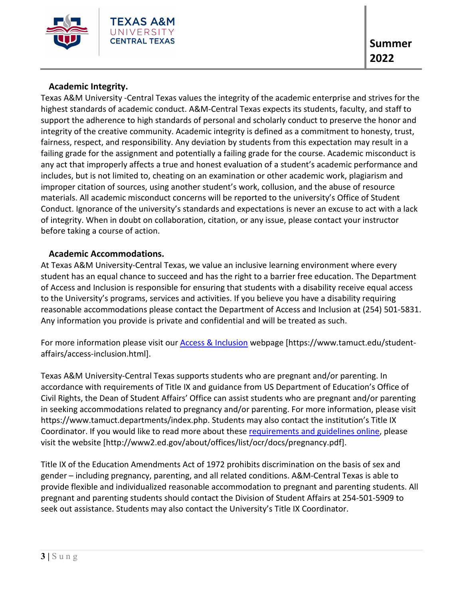

# **Academic Integrity.**

Texas A&M University -Central Texas values the integrity of the academic enterprise and strives for the highest standards of academic conduct. A&M-Central Texas expects its students, faculty, and staff to support the adherence to high standards of personal and scholarly conduct to preserve the honor and integrity of the creative community. Academic integrity is defined as a commitment to honesty, trust, fairness, respect, and responsibility. Any deviation by students from this expectation may result in a failing grade for the assignment and potentially a failing grade for the course. Academic misconduct is any act that improperly affects a true and honest evaluation of a student's academic performance and includes, but is not limited to, cheating on an examination or other academic work, plagiarism and improper citation of sources, using another student's work, collusion, and the abuse of resource materials. All academic misconduct concerns will be reported to the university's Office of Student Conduct. Ignorance of the university's standards and expectations is never an excuse to act with a lack of integrity. When in doubt on collaboration, citation, or any issue, please contact your instructor before taking a course of action.

## **Academic Accommodations.**

At Texas A&M University-Central Texas, we value an inclusive learning environment where every student has an equal chance to succeed and has the right to a barrier free education. The Department of Access and Inclusion is responsible for ensuring that students with a disability receive equal access to the University's programs, services and activities. If you believe you have a disability requiring reasonable accommodations please contact the Department of Access and Inclusion at (254) 501-5831. Any information you provide is private and confidential and will be treated as such.

For more information please visit our [Access & Inclusion](https://www.tamuct.edu/student-affairs/access-inclusion.html) webpage [https://www.tamuct.edu/studentaffairs/access-inclusion.html].

Texas A&M University-Central Texas supports students who are pregnant and/or parenting. In accordance with requirements of Title IX and guidance from US Department of Education's Office of Civil Rights, the Dean of Student Affairs' Office can assist students who are pregnant and/or parenting in seeking accommodations related to pregnancy and/or parenting. For more information, please visit https://www.tamuct.departments/index.php. Students may also contact the institution's Title IX Coordinator. If you would like to read more about these [requirements and guidelines](http://www2.ed.gov/about/offices/list/ocr/docs/pregnancy.pdf) online, please visit the website [http://www2.ed.gov/about/offices/list/ocr/docs/pregnancy.pdf].

Title IX of the Education Amendments Act of 1972 prohibits discrimination on the basis of sex and gender – including pregnancy, parenting, and all related conditions. A&M-Central Texas is able to provide flexible and individualized reasonable accommodation to pregnant and parenting students. All pregnant and parenting students should contact the Division of Student Affairs at 254-501-5909 to seek out assistance. Students may also contact the University's Title IX Coordinator.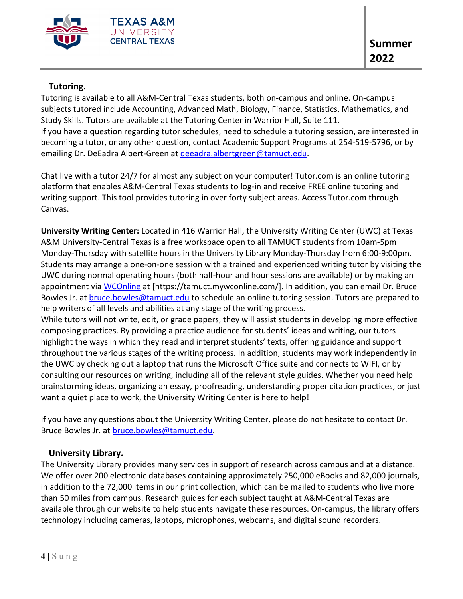

# **Tutoring.**

Tutoring is available to all A&M-Central Texas students, both on-campus and online. On-campus subjects tutored include Accounting, Advanced Math, Biology, Finance, Statistics, Mathematics, and Study Skills. Tutors are available at the Tutoring Center in Warrior Hall, Suite 111. If you have a question regarding tutor schedules, need to schedule a tutoring session, are interested in becoming a tutor, or any other question, contact Academic Support Programs at 254-519-5796, or by emailing Dr. DeEadra Albert-Green at [deeadra.albertgreen@tamuct.edu.](mailto:deeadra.albertgreen@tamuct.edu)

Chat live with a tutor 24/7 for almost any subject on your computer! Tutor.com is an online tutoring platform that enables A&M-Central Texas students to log-in and receive FREE online tutoring and writing support. This tool provides tutoring in over forty subject areas. Access Tutor.com through Canvas.

**University Writing Center:** Located in 416 Warrior Hall, the University Writing Center (UWC) at Texas A&M University-Central Texas is a free workspace open to all TAMUCT students from 10am-5pm Monday-Thursday with satellite hours in the University Library Monday-Thursday from 6:00-9:00pm. Students may arrange a one-on-one session with a trained and experienced writing tutor by visiting the UWC during normal operating hours (both half-hour and hour sessions are available) or by making an appointment via [WCOnline](https://tamuct.mywconline.com/) at [https://tamuct.mywconline.com/]. In addition, you can email Dr. Bruce Bowles Jr. at [bruce.bowles@tamuct.edu](mailto:bruce.bowles@tamuct.edu) to schedule an online tutoring session. Tutors are prepared to help writers of all levels and abilities at any stage of the writing process.

While tutors will not write, edit, or grade papers, they will assist students in developing more effective composing practices. By providing a practice audience for students' ideas and writing, our tutors highlight the ways in which they read and interpret students' texts, offering guidance and support throughout the various stages of the writing process. In addition, students may work independently in the UWC by checking out a laptop that runs the Microsoft Office suite and connects to WIFI, or by consulting our resources on writing, including all of the relevant style guides. Whether you need help brainstorming ideas, organizing an essay, proofreading, understanding proper citation practices, or just want a quiet place to work, the University Writing Center is here to help!

If you have any questions about the University Writing Center, please do not hesitate to contact Dr. Bruce Bowles Jr. at [bruce.bowles@tamuct.edu.](mailto:bruce.bowles@tamuct.edu)

# **University Library.**

The University Library provides many services in support of research across campus and at a distance. We offer over 200 electronic databases containing approximately 250,000 eBooks and 82,000 journals, in addition to the 72,000 items in our print collection, which can be mailed to students who live more than 50 miles from campus. Research guides for each subject taught at A&M-Central Texas are available through our website to help students navigate these resources. On-campus, the library offers technology including cameras, laptops, microphones, webcams, and digital sound recorders.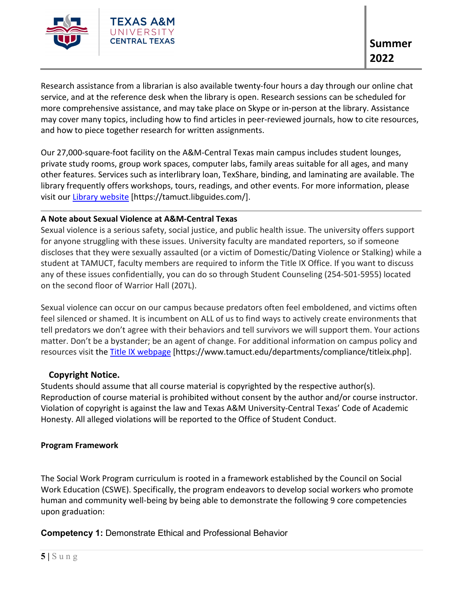

Research assistance from a librarian is also available twenty-four hours a day through our online chat service, and at the reference desk when the library is open. Research sessions can be scheduled for more comprehensive assistance, and may take place on Skype or in-person at the library. Assistance may cover many topics, including how to find articles in peer-reviewed journals, how to cite resources, and how to piece together research for written assignments.

Our 27,000-square-foot facility on the A&M-Central Texas main campus includes student lounges, private study rooms, group work spaces, computer labs, family areas suitable for all ages, and many other features. Services such as interlibrary loan, TexShare, binding, and laminating are available. The library frequently offers workshops, tours, readings, and other events. For more information, please visit our [Library website](https://tamuct.libguides.com/) [https://tamuct.libguides.com/].

# **A Note about Sexual Violence at A&M-Central Texas**

TFXAS A&M UNIVERSIT **CENTRAL TEXAS** 

Sexual violence is a serious safety, social justice, and public health issue. The university offers support for anyone struggling with these issues. University faculty are mandated reporters, so if someone discloses that they were sexually assaulted (or a victim of Domestic/Dating Violence or Stalking) while a student at TAMUCT, faculty members are required to inform the Title IX Office. If you want to discuss any of these issues confidentially, you can do so through Student Counseling (254-501-5955) located on the second floor of Warrior Hall (207L).

Sexual violence can occur on our campus because predators often feel emboldened, and victims often feel silenced or shamed. It is incumbent on ALL of us to find ways to actively create environments that tell predators we don't agree with their behaviors and tell survivors we will support them. Your actions matter. Don't be a bystander; be an agent of change. For additional information on campus policy and resources visit the [Title IX webpage](https://www.tamuct.edu/departments/compliance/titleix.php) [https://www.tamuct.edu/departments/compliance/titleix.php].

# **Copyright Notice.**

Students should assume that all course material is copyrighted by the respective author(s). Reproduction of course material is prohibited without consent by the author and/or course instructor. Violation of copyright is against the law and Texas A&M University-Central Texas' Code of Academic Honesty. All alleged violations will be reported to the Office of Student Conduct.

# **Program Framework**

The Social Work Program curriculum is rooted in a framework established by the Council on Social Work Education (CSWE). Specifically, the program endeavors to develop social workers who promote human and community well-being by being able to demonstrate the following 9 core competencies upon graduation:

**Competency 1:** Demonstrate Ethical and Professional Behavior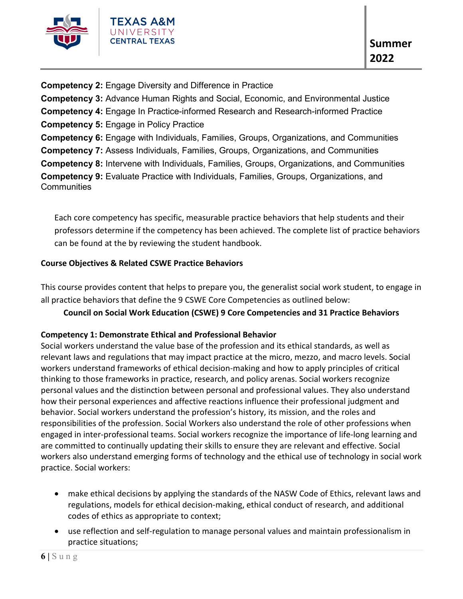



**Competency 2:** Engage Diversity and Difference in Practice **Competency 3:** Advance Human Rights and Social, Economic, and Environmental Justice **Competency 4:** Engage In Practice-informed Research and Research-informed Practice **Competency 5:** Engage in Policy Practice **Competency 6:** Engage with Individuals, Families, Groups, Organizations, and Communities **Competency 7:** Assess Individuals, Families, Groups, Organizations, and Communities **Competency 8:** Intervene with Individuals, Families, Groups, Organizations, and Communities **Competency 9:** Evaluate Practice with Individuals, Families, Groups, Organizations, and **Communities** 

Each core competency has specific, measurable practice behaviors that help students and their professors determine if the competency has been achieved. The complete list of practice behaviors can be found at the by reviewing the student handbook.

## **Course Objectives & Related CSWE Practice Behaviors**

This course provides content that helps to prepare you, the generalist social work student, to engage in all practice behaviors that define the 9 CSWE Core Competencies as outlined below:

# **Council on Social Work Education (CSWE) 9 Core Competencies and 31 Practice Behaviors**

## **Competency 1: Demonstrate Ethical and Professional Behavior**

Social workers understand the value base of the profession and its ethical standards, as well as relevant laws and regulations that may impact practice at the micro, mezzo, and macro levels. Social workers understand frameworks of ethical decision-making and how to apply principles of critical thinking to those frameworks in practice, research, and policy arenas. Social workers recognize personal values and the distinction between personal and professional values. They also understand how their personal experiences and affective reactions influence their professional judgment and behavior. Social workers understand the profession's history, its mission, and the roles and responsibilities of the profession. Social Workers also understand the role of other professions when engaged in inter-professional teams. Social workers recognize the importance of life-long learning and are committed to continually updating their skills to ensure they are relevant and effective. Social workers also understand emerging forms of technology and the ethical use of technology in social work practice. Social workers:

- make ethical decisions by applying the standards of the NASW Code of Ethics, relevant laws and regulations, models for ethical decision-making, ethical conduct of research, and additional codes of ethics as appropriate to context;
- use reflection and self-regulation to manage personal values and maintain professionalism in practice situations;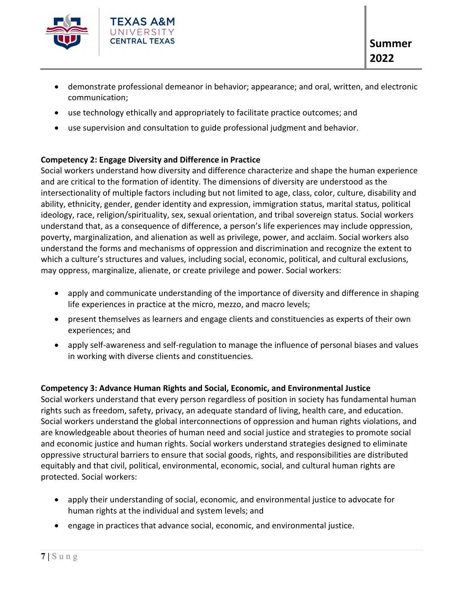

- demonstrate professional demeanor in behavior; appearance; and oral, written, and electronic communication;
- use technology ethically and appropriately to facilitate practice outcomes; and
- use supervision and consultation to guide professional judgment and behavior.

# **Competency 2: Engage Diversity and Difference in Practice**

Social workers understand how diversity and difference characterize and shape the human experience and are critical to the formation of identity. The dimensions of diversity are understood as the intersectionality of multiple factors including but not limited to age, class, color, culture, disability and ability, ethnicity, gender, gender identity and expression, immigration status, marital status, political ideology, race, religion/spirituality, sex, sexual orientation, and tribal sovereign status. Social workers understand that, as a consequence of difference, a person's life experiences may include oppression, poverty, marginalization, and alienation as well as privilege, power, and acclaim. Social workers also understand the forms and mechanisms of oppression and discrimination and recognize the extent to which a culture's structures and values, including social, economic, political, and cultural exclusions, may oppress, marginalize, alienate, or create privilege and power. Social workers:

- apply and communicate understanding of the importance of diversity and difference in shaping life experiences in practice at the micro, mezzo, and macro levels;
- present themselves as learners and engage clients and constituencies as experts of their own experiences; and
- apply self-awareness and self-regulation to manage the influence of personal biases and values in working with diverse clients and constituencies.

# **Competency 3: Advance Human Rights and Social, Economic, and Environmental Justice**

Social workers understand that every person regardless of position in society has fundamental human rights such as freedom, safety, privacy, an adequate standard of living, health care, and education. Social workers understand the global interconnections of oppression and human rights violations, and are knowledgeable about theories of human need and social justice and strategies to promote social and economic justice and human rights. Social workers understand strategies designed to eliminate oppressive structural barriers to ensure that social goods, rights, and responsibilities are distributed equitably and that civil, political, environmental, economic, social, and cultural human rights are protected. Social workers:

- apply their understanding of social, economic, and environmental justice to advocate for human rights at the individual and system levels; and
- engage in practices that advance social, economic, and environmental justice.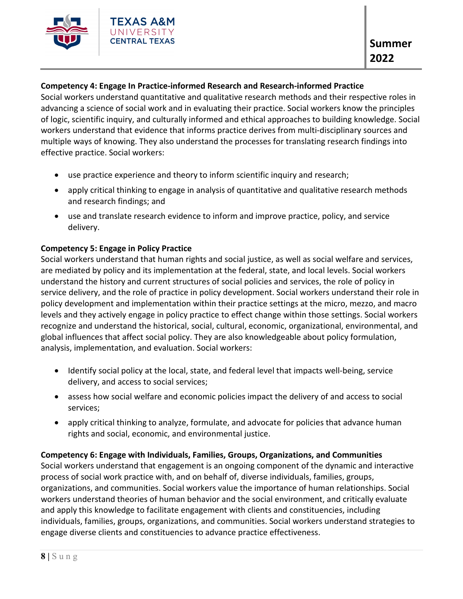

## **Competency 4: Engage In Practice-informed Research and Research-informed Practice**

Social workers understand quantitative and qualitative research methods and their respective roles in advancing a science of social work and in evaluating their practice. Social workers know the principles of logic, scientific inquiry, and culturally informed and ethical approaches to building knowledge. Social workers understand that evidence that informs practice derives from multi-disciplinary sources and multiple ways of knowing. They also understand the processes for translating research findings into effective practice. Social workers:

- use practice experience and theory to inform scientific inquiry and research;
- apply critical thinking to engage in analysis of quantitative and qualitative research methods and research findings; and
- use and translate research evidence to inform and improve practice, policy, and service delivery.

## **Competency 5: Engage in Policy Practice**

Social workers understand that human rights and social justice, as well as social welfare and services, are mediated by policy and its implementation at the federal, state, and local levels. Social workers understand the history and current structures of social policies and services, the role of policy in service delivery, and the role of practice in policy development. Social workers understand their role in policy development and implementation within their practice settings at the micro, mezzo, and macro levels and they actively engage in policy practice to effect change within those settings. Social workers recognize and understand the historical, social, cultural, economic, organizational, environmental, and global influences that affect social policy. They are also knowledgeable about policy formulation, analysis, implementation, and evaluation. Social workers:

- Identify social policy at the local, state, and federal level that impacts well-being, service delivery, and access to social services;
- assess how social welfare and economic policies impact the delivery of and access to social services;
- apply critical thinking to analyze, formulate, and advocate for policies that advance human rights and social, economic, and environmental justice.

## **Competency 6: Engage with Individuals, Families, Groups, Organizations, and Communities**

Social workers understand that engagement is an ongoing component of the dynamic and interactive process of social work practice with, and on behalf of, diverse individuals, families, groups, organizations, and communities. Social workers value the importance of human relationships. Social workers understand theories of human behavior and the social environment, and critically evaluate and apply this knowledge to facilitate engagement with clients and constituencies, including individuals, families, groups, organizations, and communities. Social workers understand strategies to engage diverse clients and constituencies to advance practice effectiveness.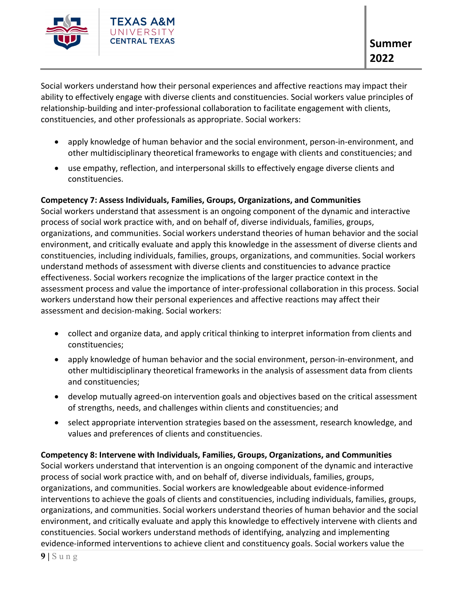

TEXAS A&M UNIVERSIT **CENTRAL TEXAS** 

Social workers understand how their personal experiences and affective reactions may impact their ability to effectively engage with diverse clients and constituencies. Social workers value principles of relationship-building and inter-professional collaboration to facilitate engagement with clients, constituencies, and other professionals as appropriate. Social workers:

- apply knowledge of human behavior and the social environment, person-in-environment, and other multidisciplinary theoretical frameworks to engage with clients and constituencies; and
- use empathy, reflection, and interpersonal skills to effectively engage diverse clients and constituencies.

## **Competency 7: Assess Individuals, Families, Groups, Organizations, and Communities**

Social workers understand that assessment is an ongoing component of the dynamic and interactive process of social work practice with, and on behalf of, diverse individuals, families, groups, organizations, and communities. Social workers understand theories of human behavior and the social environment, and critically evaluate and apply this knowledge in the assessment of diverse clients and constituencies, including individuals, families, groups, organizations, and communities. Social workers understand methods of assessment with diverse clients and constituencies to advance practice effectiveness. Social workers recognize the implications of the larger practice context in the assessment process and value the importance of inter-professional collaboration in this process. Social workers understand how their personal experiences and affective reactions may affect their assessment and decision-making. Social workers:

- collect and organize data, and apply critical thinking to interpret information from clients and constituencies;
- apply knowledge of human behavior and the social environment, person-in-environment, and other multidisciplinary theoretical frameworks in the analysis of assessment data from clients and constituencies;
- develop mutually agreed-on intervention goals and objectives based on the critical assessment of strengths, needs, and challenges within clients and constituencies; and
- select appropriate intervention strategies based on the assessment, research knowledge, and values and preferences of clients and constituencies.

# **Competency 8: Intervene with Individuals, Families, Groups, Organizations, and Communities**  Social workers understand that intervention is an ongoing component of the dynamic and interactive process of social work practice with, and on behalf of, diverse individuals, families, groups, organizations, and communities. Social workers are knowledgeable about evidence-informed interventions to achieve the goals of clients and constituencies, including individuals, families, groups, organizations, and communities. Social workers understand theories of human behavior and the social environment, and critically evaluate and apply this knowledge to effectively intervene with clients and constituencies. Social workers understand methods of identifying, analyzing and implementing evidence-informed interventions to achieve client and constituency goals. Social workers value the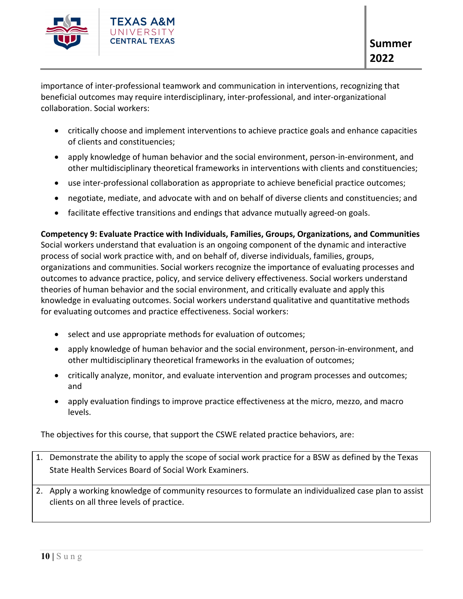

importance of inter-professional teamwork and communication in interventions, recognizing that beneficial outcomes may require interdisciplinary, inter-professional, and inter-organizational collaboration. Social workers:

- critically choose and implement interventions to achieve practice goals and enhance capacities of clients and constituencies;
- apply knowledge of human behavior and the social environment, person-in-environment, and other multidisciplinary theoretical frameworks in interventions with clients and constituencies;
- use inter-professional collaboration as appropriate to achieve beneficial practice outcomes;
- negotiate, mediate, and advocate with and on behalf of diverse clients and constituencies; and
- facilitate effective transitions and endings that advance mutually agreed-on goals.

**Competency 9: Evaluate Practice with Individuals, Families, Groups, Organizations, and Communities** Social workers understand that evaluation is an ongoing component of the dynamic and interactive process of social work practice with, and on behalf of, diverse individuals, families, groups, organizations and communities. Social workers recognize the importance of evaluating processes and outcomes to advance practice, policy, and service delivery effectiveness. Social workers understand theories of human behavior and the social environment, and critically evaluate and apply this knowledge in evaluating outcomes. Social workers understand qualitative and quantitative methods for evaluating outcomes and practice effectiveness. Social workers:

- select and use appropriate methods for evaluation of outcomes;
- apply knowledge of human behavior and the social environment, person-in-environment, and other multidisciplinary theoretical frameworks in the evaluation of outcomes;
- critically analyze, monitor, and evaluate intervention and program processes and outcomes; and
- apply evaluation findings to improve practice effectiveness at the micro, mezzo, and macro levels.

The objectives for this course, that support the CSWE related practice behaviors, are:

- 1. Demonstrate the ability to apply the scope of social work practice for a BSW as defined by the Texas State Health Services Board of Social Work Examiners.
- 2. Apply a working knowledge of community resources to formulate an individualized case plan to assist clients on all three levels of practice.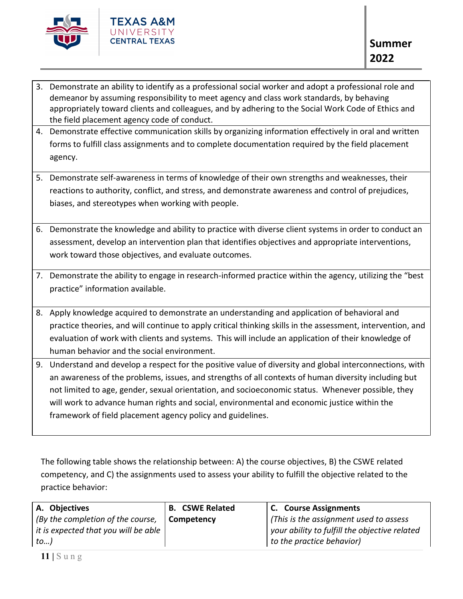

- 3. Demonstrate an ability to identify as a professional social worker and adopt a professional role and demeanor by assuming responsibility to meet agency and class work standards, by behaving appropriately toward clients and colleagues, and by adhering to the Social Work Code of Ethics and the field placement agency code of conduct.
- 4. Demonstrate effective communication skills by organizing information effectively in oral and written forms to fulfill class assignments and to complete documentation required by the field placement agency.
- 5. Demonstrate self-awareness in terms of knowledge of their own strengths and weaknesses, their reactions to authority, conflict, and stress, and demonstrate awareness and control of prejudices, biases, and stereotypes when working with people.
- 6. Demonstrate the knowledge and ability to practice with diverse client systems in order to conduct an assessment, develop an intervention plan that identifies objectives and appropriate interventions, work toward those objectives, and evaluate outcomes.
- 7. Demonstrate the ability to engage in research-informed practice within the agency, utilizing the "best practice" information available.
- 8. Apply knowledge acquired to demonstrate an understanding and application of behavioral and practice theories, and will continue to apply critical thinking skills in the assessment, intervention, and evaluation of work with clients and systems. This will include an application of their knowledge of human behavior and the social environment.
- 9. Understand and develop a respect for the positive value of diversity and global interconnections, with an awareness of the problems, issues, and strengths of all contexts of human diversity including but not limited to age, gender, sexual orientation, and socioeconomic status. Whenever possible, they will work to advance human rights and social, environmental and economic justice within the framework of field placement agency policy and guidelines.

The following table shows the relationship between: A) the course objectives, B) the CSWE related competency, and C) the assignments used to assess your ability to fulfill the objective related to the practice behavior:

| A. Objectives                        | <b>B. CSWE Related</b> | <b>C.</b> Course Assignments                  |
|--------------------------------------|------------------------|-----------------------------------------------|
| (By the completion of the course,    | Competency             | $\mid$ (This is the assignment used to assess |
| it is expected that you will be able |                        | your ability to fulfill the objective related |
| to)                                  |                        | to the practice behavior)                     |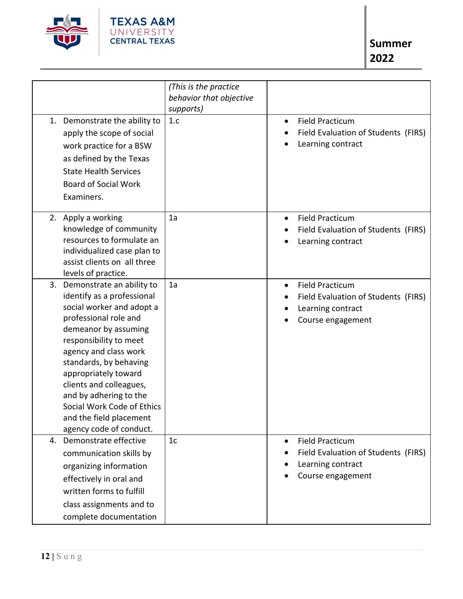

|    |                                                                                                                                                                                                                                                                                                                                                                                     | (This is the practice<br>behavior that objective<br>supports) |                        |                                                                                                         |
|----|-------------------------------------------------------------------------------------------------------------------------------------------------------------------------------------------------------------------------------------------------------------------------------------------------------------------------------------------------------------------------------------|---------------------------------------------------------------|------------------------|---------------------------------------------------------------------------------------------------------|
|    | 1. Demonstrate the ability to<br>apply the scope of social<br>work practice for a BSW<br>as defined by the Texas<br><b>State Health Services</b><br><b>Board of Social Work</b><br>Examiners.                                                                                                                                                                                       | 1.c                                                           | $\bullet$              | <b>Field Practicum</b><br>Field Evaluation of Students (FIRS)<br>Learning contract                      |
|    | 2. Apply a working<br>knowledge of community<br>resources to formulate an<br>individualized case plan to<br>assist clients on all three<br>levels of practice.                                                                                                                                                                                                                      | 1a                                                            |                        | <b>Field Practicum</b><br>Field Evaluation of Students (FIRS)<br>Learning contract                      |
| 3. | Demonstrate an ability to<br>identify as a professional<br>social worker and adopt a<br>professional role and<br>demeanor by assuming<br>responsibility to meet<br>agency and class work<br>standards, by behaving<br>appropriately toward<br>clients and colleagues,<br>and by adhering to the<br>Social Work Code of Ethics<br>and the field placement<br>agency code of conduct. | 1a                                                            | $\bullet$              | <b>Field Practicum</b><br>Field Evaluation of Students (FIRS)<br>Learning contract<br>Course engagement |
| 4. | Demonstrate effective<br>communication skills by<br>organizing information<br>effectively in oral and<br>written forms to fulfill<br>class assignments and to<br>complete documentation                                                                                                                                                                                             | 1c                                                            | $\bullet$<br>$\bullet$ | <b>Field Practicum</b><br>Field Evaluation of Students (FIRS)<br>Learning contract<br>Course engagement |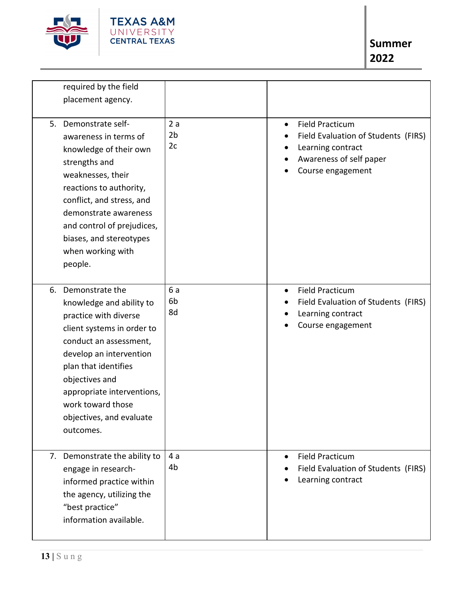



| required by the field<br>placement agency.                                                                                                                                                                                                                                                       |                            |                                                                                                                                                 |
|--------------------------------------------------------------------------------------------------------------------------------------------------------------------------------------------------------------------------------------------------------------------------------------------------|----------------------------|-------------------------------------------------------------------------------------------------------------------------------------------------|
| 5.<br>Demonstrate self-<br>awareness in terms of<br>knowledge of their own<br>strengths and<br>weaknesses, their<br>reactions to authority,<br>conflict, and stress, and<br>demonstrate awareness<br>and control of prejudices,<br>biases, and stereotypes<br>when working with<br>people.       | 2a<br>2 <sub>b</sub><br>2c | <b>Field Practicum</b><br>$\bullet$<br>Field Evaluation of Students (FIRS)<br>Learning contract<br>Awareness of self paper<br>Course engagement |
| 6. Demonstrate the<br>knowledge and ability to<br>practice with diverse<br>client systems in order to<br>conduct an assessment,<br>develop an intervention<br>plan that identifies<br>objectives and<br>appropriate interventions,<br>work toward those<br>objectives, and evaluate<br>outcomes. | 6a<br>6 <sub>b</sub><br>8d | <b>Field Practicum</b><br>$\bullet$<br>Field Evaluation of Students (FIRS)<br>Learning contract<br>Course engagement                            |
| 7. Demonstrate the ability to<br>engage in research-<br>informed practice within<br>the agency, utilizing the<br>"best practice"<br>information available.                                                                                                                                       | 4 a<br>4b                  | <b>Field Practicum</b><br>$\bullet$<br>Field Evaluation of Students (FIRS)<br>Learning contract                                                 |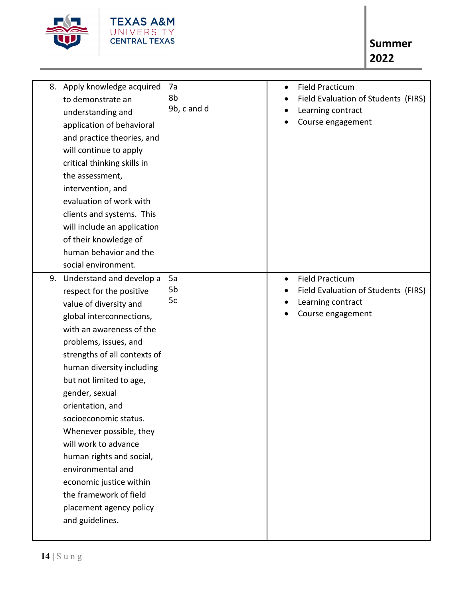



| 8. | Apply knowledge acquired<br>to demonstrate an<br>understanding and<br>application of behavioral<br>and practice theories, and<br>will continue to apply<br>critical thinking skills in<br>the assessment,<br>intervention, and<br>evaluation of work with<br>clients and systems. This<br>will include an application<br>of their knowledge of<br>human behavior and the<br>social environment.                                                                                                                               | 7a<br>8b<br>9b, c and d | <b>Field Practicum</b><br>$\bullet$<br>Field Evaluation of Students (FIRS)<br>Learning contract<br>Course engagement |
|----|-------------------------------------------------------------------------------------------------------------------------------------------------------------------------------------------------------------------------------------------------------------------------------------------------------------------------------------------------------------------------------------------------------------------------------------------------------------------------------------------------------------------------------|-------------------------|----------------------------------------------------------------------------------------------------------------------|
| 9. | Understand and develop a<br>respect for the positive<br>value of diversity and<br>global interconnections,<br>with an awareness of the<br>problems, issues, and<br>strengths of all contexts of<br>human diversity including<br>but not limited to age,<br>gender, sexual<br>orientation, and<br>socioeconomic status.<br>Whenever possible, they<br>will work to advance<br>human rights and social,<br>environmental and<br>economic justice within<br>the framework of field<br>placement agency policy<br>and guidelines. | 5a<br>5b<br>5c          | <b>Field Practicum</b><br>$\bullet$<br>Field Evaluation of Students (FIRS)<br>Learning contract<br>Course engagement |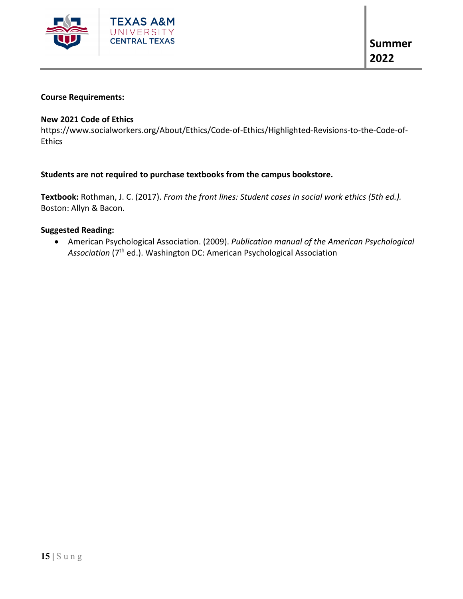

## **Course Requirements:**

## **New 2021 Code of Ethics**

https://www.socialworkers.org/About/Ethics/Code-of-Ethics/Highlighted-Revisions-to-the-Code-of-Ethics

## **Students are not required to purchase textbooks from the campus bookstore.**

**Textbook:** Rothman, J. C. (2017). *From the front lines: Student cases in social work ethics (5th ed.).*  Boston: Allyn & Bacon.

## **Suggested Reading:**

• American Psychological Association. (2009). *Publication manual of the American Psychological*  Association (7<sup>th</sup> ed.). Washington DC: American Psychological Association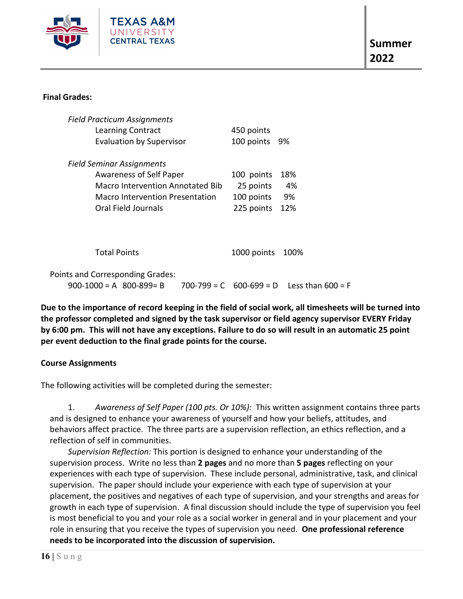

## **Final Grades:**

| <b>Field Practicum Assignments</b>      |                           |                     |
|-----------------------------------------|---------------------------|---------------------|
| Learning Contract                       | 450 points                |                     |
| <b>Evaluation by Supervisor</b>         | 100 points 9%             |                     |
| <b>Field Seminar Assignments</b>        |                           |                     |
| Awareness of Self Paper                 | 100 points                | 18%                 |
| <b>Macro Intervention Annotated Bib</b> | 25 points                 | 4%                  |
| <b>Macro Intervention Presentation</b>  | 100 points                | 9%                  |
| Oral Field Journals                     | 225 points 12%            |                     |
|                                         |                           |                     |
| <b>Total Points</b>                     | 1000 points               | 100%                |
| <b>Points and Corresponding Grades:</b> |                           |                     |
| $900-1000 = A$ 800-899= B               | $700-799 = C$ 600-699 = D | Less than $600 = F$ |

**Due to the importance of record keeping in the field of social work, all timesheets will be turned into the professor completed and signed by the task supervisor or field agency supervisor EVERY Friday by 6:00 pm. This will not have any exceptions. Failure to do so will result in an automatic 25 point per event deduction to the final grade points for the course.** 

## **Course Assignments**

The following activities will be completed during the semester:

1. *Awareness of Self Paper (100 pts. Or 10%):* This written assignment contains three parts and is designed to enhance your awareness of yourself and how your beliefs, attitudes, and behaviors affect practice. The three parts are a supervision reflection, an ethics reflection, and a reflection of self in communities.

*Supervision Reflection:* This portion is designed to enhance your understanding of the supervision process. Write no less than **2 pages** and no more than **5 pages** reflecting on your experiences with each type of supervision. These include personal, administrative, task, and clinical supervision. The paper should include your experience with each type of supervision at your placement, the positives and negatives of each type of supervision, and your strengths and areas for growth in each type of supervision. A final discussion should include the type of supervision you feel is most beneficial to you and your role as a social worker in general and in your placement and your role in ensuring that you receive the types of supervision you need. **One professional reference needs to be incorporated into the discussion of supervision.**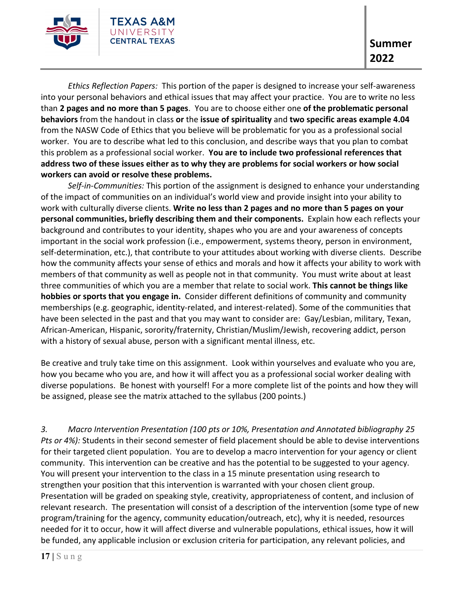

*Ethics Reflection Papers:* This portion of the paper is designed to increase your self-awareness into your personal behaviors and ethical issues that may affect your practice. You are to write no less than **2 pages and no more than 5 pages**. You are to choose either one **of the problematic personal behaviors** from the handout in class **or** the **issue of spirituality** and **two specific areas example 4.04** from the NASW Code of Ethics that you believe will be problematic for you as a professional social worker. You are to describe what led to this conclusion, and describe ways that you plan to combat this problem as a professional social worker. **You are to include two professional references that address two of these issues either as to why they are problems for social workers or how social workers can avoid or resolve these problems.**

*Self-in-Communities:* This portion of the assignment is designed to enhance your understanding of the impact of communities on an individual's world view and provide insight into your ability to work with culturally diverse clients. **Write no less than 2 pages and no more than 5 pages on your personal communities, briefly describing them and their components.** Explain how each reflects your background and contributes to your identity, shapes who you are and your awareness of concepts important in the social work profession (i.e., empowerment, systems theory, person in environment, self-determination, etc.), that contribute to your attitudes about working with diverse clients. Describe how the community affects your sense of ethics and morals and how it affects your ability to work with members of that community as well as people not in that community. You must write about at least three communities of which you are a member that relate to social work. **This cannot be things like hobbies or sports that you engage in.** Consider different definitions of community and community memberships (e.g. geographic, identity-related, and interest-related). Some of the communities that have been selected in the past and that you may want to consider are: Gay/Lesbian, military, Texan, African-American, Hispanic, sorority/fraternity, Christian/Muslim/Jewish, recovering addict, person with a history of sexual abuse, person with a significant mental illness, etc.

Be creative and truly take time on this assignment. Look within yourselves and evaluate who you are, how you became who you are, and how it will affect you as a professional social worker dealing with diverse populations. Be honest with yourself! For a more complete list of the points and how they will be assigned, please see the matrix attached to the syllabus (200 points.)

*3. Macro Intervention Presentation (100 pts or 10%, Presentation and Annotated bibliography 25 Pts or 4%):* Students in their second semester of field placement should be able to devise interventions for their targeted client population. You are to develop a macro intervention for your agency or client community. This intervention can be creative and has the potential to be suggested to your agency. You will present your intervention to the class in a 15 minute presentation using research to strengthen your position that this intervention is warranted with your chosen client group. Presentation will be graded on speaking style, creativity, appropriateness of content, and inclusion of relevant research. The presentation will consist of a description of the intervention (some type of new program/training for the agency, community education/outreach, etc), why it is needed, resources needed for it to occur, how it will affect diverse and vulnerable populations, ethical issues, how it will be funded, any applicable inclusion or exclusion criteria for participation, any relevant policies, and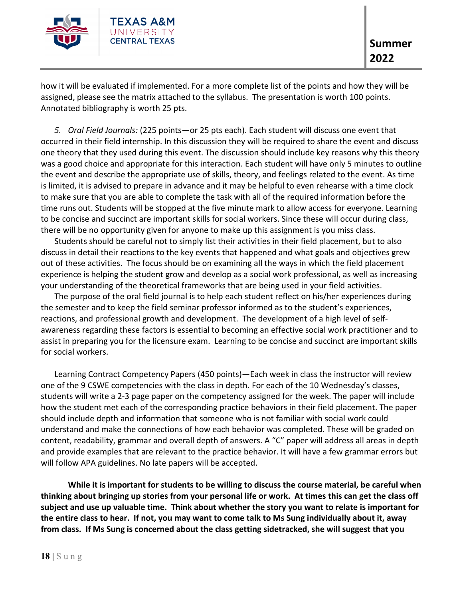

TEXAS A&M UNIVERSIT **CENTRAL TEXAS** 

how it will be evaluated if implemented. For a more complete list of the points and how they will be assigned, please see the matrix attached to the syllabus. The presentation is worth 100 points. Annotated bibliography is worth 25 pts.

*5. Oral Field Journals:* (225 points—or 25 pts each). Each student will discuss one event that occurred in their field internship. In this discussion they will be required to share the event and discuss one theory that they used during this event. The discussion should include key reasons why this theory was a good choice and appropriate for this interaction. Each student will have only 5 minutes to outline the event and describe the appropriate use of skills, theory, and feelings related to the event. As time is limited, it is advised to prepare in advance and it may be helpful to even rehearse with a time clock to make sure that you are able to complete the task with all of the required information before the time runs out. Students will be stopped at the five minute mark to allow access for everyone. Learning to be concise and succinct are important skills for social workers. Since these will occur during class, there will be no opportunity given for anyone to make up this assignment is you miss class.

Students should be careful not to simply list their activities in their field placement, but to also discuss in detail their reactions to the key events that happened and what goals and objectives grew out of these activities. The focus should be on examining all the ways in which the field placement experience is helping the student grow and develop as a social work professional, as well as increasing your understanding of the theoretical frameworks that are being used in your field activities.

The purpose of the oral field journal is to help each student reflect on his/her experiences during the semester and to keep the field seminar professor informed as to the student's experiences, reactions, and professional growth and development. The development of a high level of selfawareness regarding these factors is essential to becoming an effective social work practitioner and to assist in preparing you for the licensure exam. Learning to be concise and succinct are important skills for social workers.

Learning Contract Competency Papers (450 points)—Each week in class the instructor will review one of the 9 CSWE competencies with the class in depth. For each of the 10 Wednesday's classes, students will write a 2-3 page paper on the competency assigned for the week. The paper will include how the student met each of the corresponding practice behaviors in their field placement. The paper should include depth and information that someone who is not familiar with social work could understand and make the connections of how each behavior was completed. These will be graded on content, readability, grammar and overall depth of answers. A "C" paper will address all areas in depth and provide examples that are relevant to the practice behavior. It will have a few grammar errors but will follow APA guidelines. No late papers will be accepted.

**While it is important for students to be willing to discuss the course material, be careful when thinking about bringing up stories from your personal life or work. At times this can get the class off subject and use up valuable time. Think about whether the story you want to relate is important for the entire class to hear. If not, you may want to come talk to Ms Sung individually about it, away from class. If Ms Sung is concerned about the class getting sidetracked, she will suggest that you**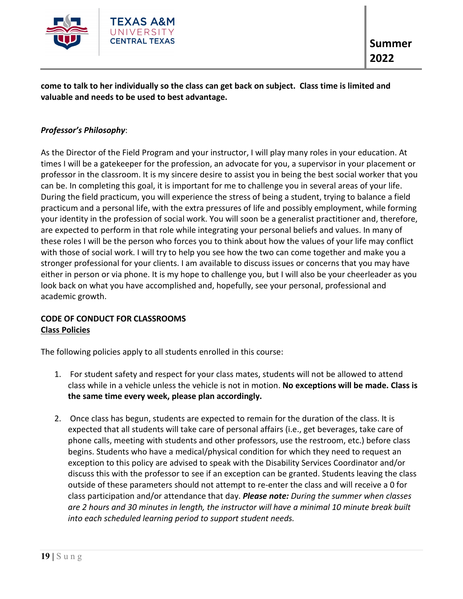



**come to talk to her individually so the class can get back on subject. Class time is limited and valuable and needs to be used to best advantage.**

# *Professor's Philosophy*:

As the Director of the Field Program and your instructor, I will play many roles in your education. At times I will be a gatekeeper for the profession, an advocate for you, a supervisor in your placement or professor in the classroom. It is my sincere desire to assist you in being the best social worker that you can be. In completing this goal, it is important for me to challenge you in several areas of your life. During the field practicum, you will experience the stress of being a student, trying to balance a field practicum and a personal life, with the extra pressures of life and possibly employment, while forming your identity in the profession of social work. You will soon be a generalist practitioner and, therefore, are expected to perform in that role while integrating your personal beliefs and values. In many of these roles I will be the person who forces you to think about how the values of your life may conflict with those of social work. I will try to help you see how the two can come together and make you a stronger professional for your clients. I am available to discuss issues or concerns that you may have either in person or via phone. It is my hope to challenge you, but I will also be your cheerleader as you look back on what you have accomplished and, hopefully, see your personal, professional and academic growth.

# **CODE OF CONDUCT FOR CLASSROOMS Class Policies**

The following policies apply to all students enrolled in this course:

- 1. For student safety and respect for your class mates, students will not be allowed to attend class while in a vehicle unless the vehicle is not in motion. **No exceptions will be made. Class is the same time every week, please plan accordingly.**
- 2. Once class has begun, students are expected to remain for the duration of the class. It is expected that all students will take care of personal affairs (i.e., get beverages, take care of phone calls, meeting with students and other professors, use the restroom, etc.) before class begins. Students who have a medical/physical condition for which they need to request an exception to this policy are advised to speak with the Disability Services Coordinator and/or discuss this with the professor to see if an exception can be granted. Students leaving the class outside of these parameters should not attempt to re-enter the class and will receive a 0 for class participation and/or attendance that day. *Please note: During the summer when classes are 2 hours and 30 minutes in length, the instructor will have a minimal 10 minute break built into each scheduled learning period to support student needs.*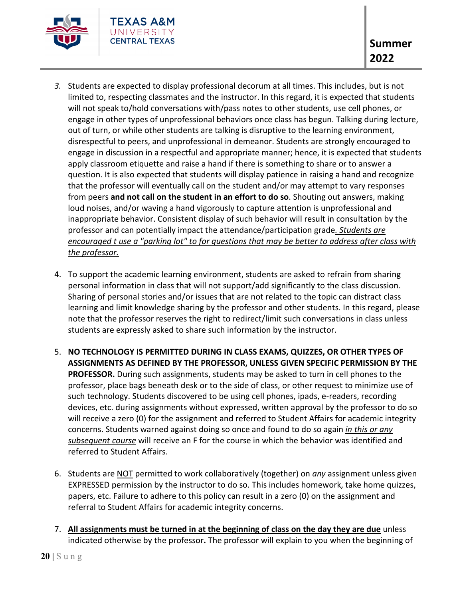

TEXAS A&M UNIVERSIT **CENTRAL TEXAS** 

- *3.* Students are expected to display professional decorum at all times. This includes, but is not limited to, respecting classmates and the instructor. In this regard, it is expected that students will not speak to/hold conversations with/pass notes to other students, use cell phones, or engage in other types of unprofessional behaviors once class has begun. Talking during lecture, out of turn, or while other students are talking is disruptive to the learning environment, disrespectful to peers, and unprofessional in demeanor. Students are strongly encouraged to engage in discussion in a respectful and appropriate manner; hence, it is expected that students apply classroom etiquette and raise a hand if there is something to share or to answer a question. It is also expected that students will display patience in raising a hand and recognize that the professor will eventually call on the student and/or may attempt to vary responses from peers **and not call on the student in an effort to do so**. Shouting out answers, making loud noises, and/or waving a hand vigorously to capture attention is unprofessional and inappropriate behavior. Consistent display of such behavior will result in consultation by the professor and can potentially impact the attendance/participation grade*. Students are encouraged t use a "parking lot" to for questions that may be better to address after class with the professor.*
- 4. To support the academic learning environment, students are asked to refrain from sharing personal information in class that will not support/add significantly to the class discussion. Sharing of personal stories and/or issues that are not related to the topic can distract class learning and limit knowledge sharing by the professor and other students. In this regard, please note that the professor reserves the right to redirect/limit such conversations in class unless students are expressly asked to share such information by the instructor.
- 5. **NO TECHNOLOGY IS PERMITTED DURING IN CLASS EXAMS, QUIZZES, OR OTHER TYPES OF ASSIGNMENTS AS DEFINED BY THE PROFESSOR, UNLESS GIVEN SPECIFIC PERMISSION BY THE PROFESSOR.** During such assignments, students may be asked to turn in cell phones to the professor, place bags beneath desk or to the side of class, or other request to minimize use of such technology. Students discovered to be using cell phones, ipads, e-readers, recording devices, etc. during assignments without expressed, written approval by the professor to do so will receive a zero (0) for the assignment and referred to Student Affairs for academic integrity concerns. Students warned against doing so once and found to do so again *in this or any subsequent course* will receive an F for the course in which the behavior was identified and referred to Student Affairs.
- 6. Students are NOT permitted to work collaboratively (together) on *any* assignment unless given EXPRESSED permission by the instructor to do so. This includes homework, take home quizzes, papers, etc. Failure to adhere to this policy can result in a zero (0) on the assignment and referral to Student Affairs for academic integrity concerns.
- 7. **All assignments must be turned in at the beginning of class on the day they are due** unless indicated otherwise by the professor**.** The professor will explain to you when the beginning of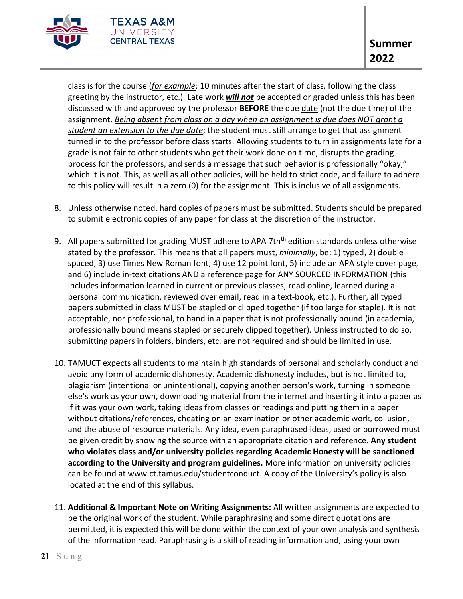

class is for the course (*for example*: 10 minutes after the start of class, following the class greeting by the instructor, etc.). Late work *will not* be accepted or graded unless this has been discussed with and approved by the professor **BEFORE** the due date (not the due time) of the assignment. *Being absent from class on a day when an assignment is due does NOT grant a student an extension to the due date*; the student must still arrange to get that assignment turned in to the professor before class starts. Allowing students to turn in assignments late for a grade is not fair to other students who get their work done on time, disrupts the grading process for the professors, and sends a message that such behavior is professionally "okay," which it is not. This, as well as all other policies, will be held to strict code, and failure to adhere to this policy will result in a zero (0) for the assignment. This is inclusive of all assignments.

- 8. Unless otherwise noted, hard copies of papers must be submitted. Students should be prepared to submit electronic copies of any paper for class at the discretion of the instructor.
- 9. All papers submitted for grading MUST adhere to APA 7th<sup>th</sup> edition standards unless otherwise stated by the professor. This means that all papers must, *minimally*, be: 1) typed, 2) double spaced, 3) use Times New Roman font, 4) use 12 point font, 5) include an APA style cover page, and 6) include in-text citations AND a reference page for ANY SOURCED INFORMATION (this includes information learned in current or previous classes, read online, learned during a personal communication, reviewed over email, read in a text-book, etc.). Further, all typed papers submitted in class MUST be stapled or clipped together (if too large for staple). It is not acceptable, nor professional, to hand in a paper that is not professionally bound (in academia, professionally bound means stapled or securely clipped together). Unless instructed to do so, submitting papers in folders, binders, etc. are not required and should be limited in use.
- 10. TAMUCT expects all students to maintain high standards of personal and scholarly conduct and avoid any form of academic dishonesty. Academic dishonesty includes, but is not limited to, plagiarism (intentional or unintentional), copying another person's work, turning in someone else's work as your own, downloading material from the internet and inserting it into a paper as if it was your own work, taking ideas from classes or readings and putting them in a paper without citations/references, cheating on an examination or other academic work, collusion, and the abuse of resource materials. Any idea, even paraphrased ideas, used or borrowed must be given credit by showing the source with an appropriate citation and reference. **Any student who violates class and/or university policies regarding Academic Honesty will be sanctioned according to the University and program guidelines.** More information on university policies can be found at www.ct.tamus.edu/studentconduct. A copy of the University's policy is also located at the end of this syllabus.
- 11. **Additional & Important Note on Writing Assignments:** All written assignments are expected to be the original work of the student. While paraphrasing and some direct quotations are permitted, it is expected this will be done within the context of your own analysis and synthesis of the information read. Paraphrasing is a skill of reading information and, using your own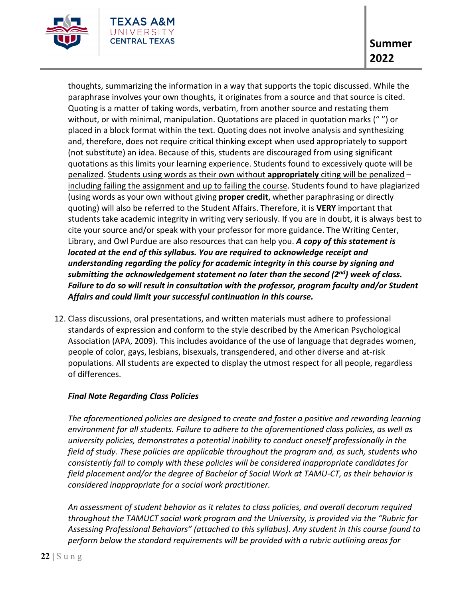

## TEXAS A&M NIVERSIT<sup>®</sup> **CENTRAL TEXAS**

thoughts, summarizing the information in a way that supports the topic discussed. While the paraphrase involves your own thoughts, it originates from a source and that source is cited. Quoting is a matter of taking words, verbatim, from another source and restating them without, or with minimal, manipulation. Quotations are placed in quotation marks (" ") or placed in a block format within the text. Quoting does not involve analysis and synthesizing and, therefore, does not require critical thinking except when used appropriately to support (not substitute) an idea. Because of this, students are discouraged from using significant quotations as this limits your learning experience. Students found to excessively quote will be penalized. Students using words as their own without **appropriately** citing will be penalized – including failing the assignment and up to failing the course. Students found to have plagiarized (using words as your own without giving **proper credit**, whether paraphrasing or directly quoting) will also be referred to the Student Affairs. Therefore, it is **VERY** important that students take academic integrity in writing very seriously. If you are in doubt, it is always best to cite your source and/or speak with your professor for more guidance. The Writing Center, Library, and Owl Purdue are also resources that can help you. *A copy of this statement is located at the end of this syllabus. You are required to acknowledge receipt and understanding regarding the policy for academic integrity in this course by signing and submitting the acknowledgement statement no later than the second (2nd) week of class. Failure to do so will result in consultation with the professor, program faculty and/or Student Affairs and could limit your successful continuation in this course.* 

12. Class discussions, oral presentations, and written materials must adhere to professional standards of expression and conform to the style described by the American Psychological Association (APA, 2009). This includes avoidance of the use of language that degrades women, people of color, gays, lesbians, bisexuals, transgendered, and other diverse and at-risk populations. All students are expected to display the utmost respect for all people, regardless of differences.

# *Final Note Regarding Class Policies*

*The aforementioned policies are designed to create and foster a positive and rewarding learning environment for all students. Failure to adhere to the aforementioned class policies, as well as university policies, demonstrates a potential inability to conduct oneself professionally in the field of study. These policies are applicable throughout the program and, as such, students who consistently fail to comply with these policies will be considered inappropriate candidates for field placement and/or the degree of Bachelor of Social Work at TAMU-CT, as their behavior is considered inappropriate for a social work practitioner.* 

*An assessment of student behavior as it relates to class policies, and overall decorum required throughout the TAMUCT social work program and the University, is provided via the "Rubric for Assessing Professional Behaviors" (attached to this syllabus). Any student in this course found to perform below the standard requirements will be provided with a rubric outlining areas for*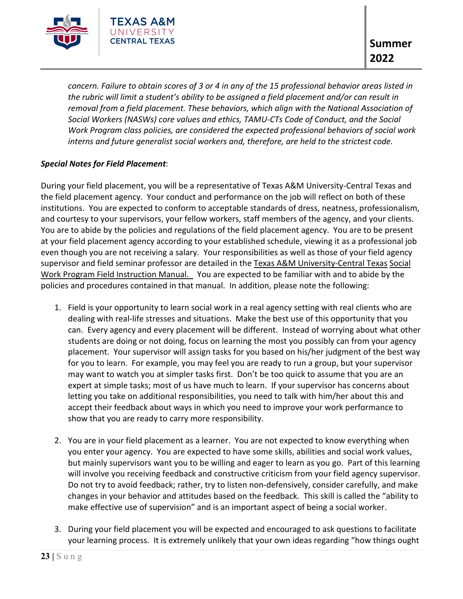

*concern. Failure to obtain scores of 3 or 4 in any of the 15 professional behavior areas listed in the rubric will limit a student's ability to be assigned a field placement and/or can result in removal from a field placement. These behaviors, which align with the National Association of Social Workers (NASWs) core values and ethics, TAMU-CTs Code of Conduct, and the Social Work Program class policies, are considered the expected professional behaviors of social work interns and future generalist social workers and, therefore, are held to the strictest code.* 

# *Special Notes for Field Placement*:

During your field placement, you will be a representative of Texas A&M University-Central Texas and the field placement agency. Your conduct and performance on the job will reflect on both of these institutions. You are expected to conform to acceptable standards of dress, neatness, professionalism, and courtesy to your supervisors, your fellow workers, staff members of the agency, and your clients. You are to abide by the policies and regulations of the field placement agency. You are to be present at your field placement agency according to your established schedule, viewing it as a professional job even though you are not receiving a salary. Your responsibilities as well as those of your field agency supervisor and field seminar professor are detailed in the Texas A&M University-Central Texas Social Work Program Field Instruction Manual. You are expected to be familiar with and to abide by the policies and procedures contained in that manual. In addition, please note the following:

- 1. Field is your opportunity to learn social work in a real agency setting with real clients who are dealing with real-life stresses and situations. Make the best use of this opportunity that you can. Every agency and every placement will be different. Instead of worrying about what other students are doing or not doing, focus on learning the most you possibly can from your agency placement. Your supervisor will assign tasks for you based on his/her judgment of the best way for you to learn. For example, you may feel you are ready to run a group, but your supervisor may want to watch you at simpler tasks first. Don't be too quick to assume that you are an expert at simple tasks; most of us have much to learn. If your supervisor has concerns about letting you take on additional responsibilities, you need to talk with him/her about this and accept their feedback about ways in which you need to improve your work performance to show that you are ready to carry more responsibility.
- 2. You are in your field placement as a learner. You are not expected to know everything when you enter your agency. You are expected to have some skills, abilities and social work values, but mainly supervisors want you to be willing and eager to learn as you go. Part of this learning will involve you receiving feedback and constructive criticism from your field agency supervisor. Do not try to avoid feedback; rather, try to listen non-defensively, consider carefully, and make changes in your behavior and attitudes based on the feedback. This skill is called the "ability to make effective use of supervision" and is an important aspect of being a social worker.
- 3. During your field placement you will be expected and encouraged to ask questions to facilitate your learning process. It is extremely unlikely that your own ideas regarding "how things ought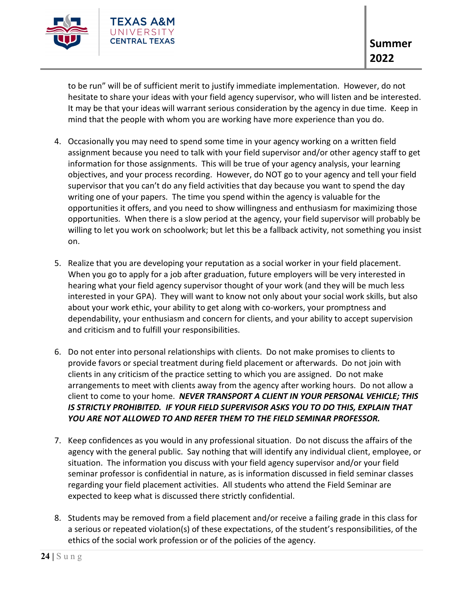

to be run" will be of sufficient merit to justify immediate implementation. However, do not hesitate to share your ideas with your field agency supervisor, who will listen and be interested. It may be that your ideas will warrant serious consideration by the agency in due time. Keep in mind that the people with whom you are working have more experience than you do.

- 4. Occasionally you may need to spend some time in your agency working on a written field assignment because you need to talk with your field supervisor and/or other agency staff to get information for those assignments. This will be true of your agency analysis, your learning objectives, and your process recording. However, do NOT go to your agency and tell your field supervisor that you can't do any field activities that day because you want to spend the day writing one of your papers. The time you spend within the agency is valuable for the opportunities it offers, and you need to show willingness and enthusiasm for maximizing those opportunities. When there is a slow period at the agency, your field supervisor will probably be willing to let you work on schoolwork; but let this be a fallback activity, not something you insist on.
- 5. Realize that you are developing your reputation as a social worker in your field placement. When you go to apply for a job after graduation, future employers will be very interested in hearing what your field agency supervisor thought of your work (and they will be much less interested in your GPA). They will want to know not only about your social work skills, but also about your work ethic, your ability to get along with co-workers, your promptness and dependability, your enthusiasm and concern for clients, and your ability to accept supervision and criticism and to fulfill your responsibilities.
- 6. Do not enter into personal relationships with clients. Do not make promises to clients to provide favors or special treatment during field placement or afterwards. Do not join with clients in any criticism of the practice setting to which you are assigned. Do not make arrangements to meet with clients away from the agency after working hours. Do not allow a client to come to your home. *NEVER TRANSPORT A CLIENT IN YOUR PERSONAL VEHICLE; THIS IS STRICTLY PROHIBITED. IF YOUR FIELD SUPERVISOR ASKS YOU TO DO THIS, EXPLAIN THAT YOU ARE NOT ALLOWED TO AND REFER THEM TO THE FIELD SEMINAR PROFESSOR.*
- 7. Keep confidences as you would in any professional situation. Do not discuss the affairs of the agency with the general public. Say nothing that will identify any individual client, employee, or situation. The information you discuss with your field agency supervisor and/or your field seminar professor is confidential in nature, as is information discussed in field seminar classes regarding your field placement activities. All students who attend the Field Seminar are expected to keep what is discussed there strictly confidential.
- 8. Students may be removed from a field placement and/or receive a failing grade in this class for a serious or repeated violation(s) of these expectations, of the student's responsibilities, of the ethics of the social work profession or of the policies of the agency.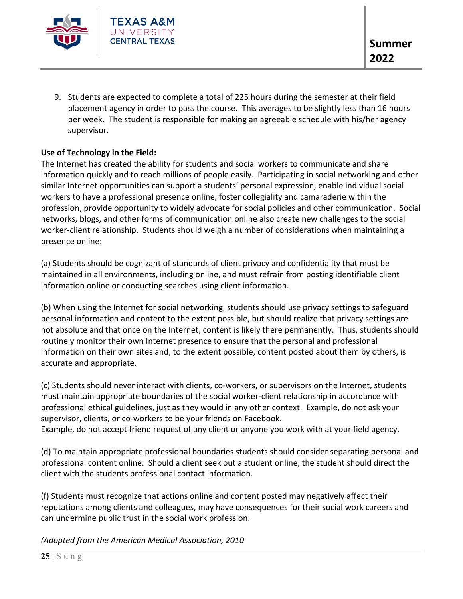

9. Students are expected to complete a total of 225 hours during the semester at their field placement agency in order to pass the course. This averages to be slightly less than 16 hours per week. The student is responsible for making an agreeable schedule with his/her agency supervisor.

# **Use of Technology in the Field:**

The Internet has created the ability for students and social workers to communicate and share information quickly and to reach millions of people easily. Participating in social networking and other similar Internet opportunities can support a students' personal expression, enable individual social workers to have a professional presence online, foster collegiality and camaraderie within the profession, provide opportunity to widely advocate for social policies and other communication. Social networks, blogs, and other forms of communication online also create new challenges to the social worker-client relationship. Students should weigh a number of considerations when maintaining a presence online:

(a) Students should be cognizant of standards of client privacy and confidentiality that must be maintained in all environments, including online, and must refrain from posting identifiable client information online or conducting searches using client information.

(b) When using the Internet for social networking, students should use privacy settings to safeguard personal information and content to the extent possible, but should realize that privacy settings are not absolute and that once on the Internet, content is likely there permanently. Thus, students should routinely monitor their own Internet presence to ensure that the personal and professional information on their own sites and, to the extent possible, content posted about them by others, is accurate and appropriate.

(c) Students should never interact with clients, co-workers, or supervisors on the Internet, students must maintain appropriate boundaries of the social worker-client relationship in accordance with professional ethical guidelines, just as they would in any other context. Example, do not ask your supervisor, clients, or co-workers to be your friends on Facebook. Example, do not accept friend request of any client or anyone you work with at your field agency.

(d) To maintain appropriate professional boundaries students should consider separating personal and professional content online. Should a client seek out a student online, the student should direct the client with the students professional contact information.

(f) Students must recognize that actions online and content posted may negatively affect their reputations among clients and colleagues, may have consequences for their social work careers and can undermine public trust in the social work profession.

*(Adopted from the American Medical Association, 2010*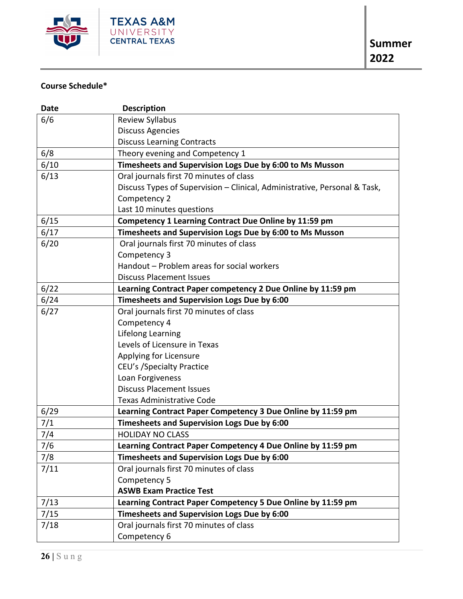

# **Course Schedule\***

| <b>Date</b> | <b>Description</b>                                                        |
|-------------|---------------------------------------------------------------------------|
| 6/6         | <b>Review Syllabus</b>                                                    |
|             | <b>Discuss Agencies</b>                                                   |
|             | <b>Discuss Learning Contracts</b>                                         |
| 6/8         | Theory evening and Competency 1                                           |
| 6/10        | Timesheets and Supervision Logs Due by 6:00 to Ms Musson                  |
| 6/13        | Oral journals first 70 minutes of class                                   |
|             | Discuss Types of Supervision - Clinical, Administrative, Personal & Task, |
|             | Competency 2                                                              |
|             | Last 10 minutes questions                                                 |
| 6/15        | Competency 1 Learning Contract Due Online by 11:59 pm                     |
| 6/17        | Timesheets and Supervision Logs Due by 6:00 to Ms Musson                  |
| 6/20        | Oral journals first 70 minutes of class                                   |
|             | Competency 3                                                              |
|             | Handout - Problem areas for social workers                                |
|             | <b>Discuss Placement Issues</b>                                           |
| 6/22        | Learning Contract Paper competency 2 Due Online by 11:59 pm               |
| 6/24        | Timesheets and Supervision Logs Due by 6:00                               |
| 6/27        | Oral journals first 70 minutes of class                                   |
|             | Competency 4                                                              |
|             | Lifelong Learning                                                         |
|             | Levels of Licensure in Texas                                              |
|             | Applying for Licensure                                                    |
|             | CEU's /Specialty Practice                                                 |
|             | Loan Forgiveness                                                          |
|             | <b>Discuss Placement Issues</b>                                           |
|             | <b>Texas Administrative Code</b>                                          |
| 6/29        | Learning Contract Paper Competency 3 Due Online by 11:59 pm               |
| 7/1         | Timesheets and Supervision Logs Due by 6:00                               |
| 7/4         | <b>HOLIDAY NO CLASS</b>                                                   |
| 7/6         | Learning Contract Paper Competency 4 Due Online by 11:59 pm               |
| 7/8         | Timesheets and Supervision Logs Due by 6:00                               |
| 7/11        | Oral journals first 70 minutes of class                                   |
|             | Competency 5                                                              |
|             | <b>ASWB Exam Practice Test</b>                                            |
| 7/13        | Learning Contract Paper Competency 5 Due Online by 11:59 pm               |
| 7/15        | Timesheets and Supervision Logs Due by 6:00                               |
| 7/18        | Oral journals first 70 minutes of class                                   |
|             | Competency 6                                                              |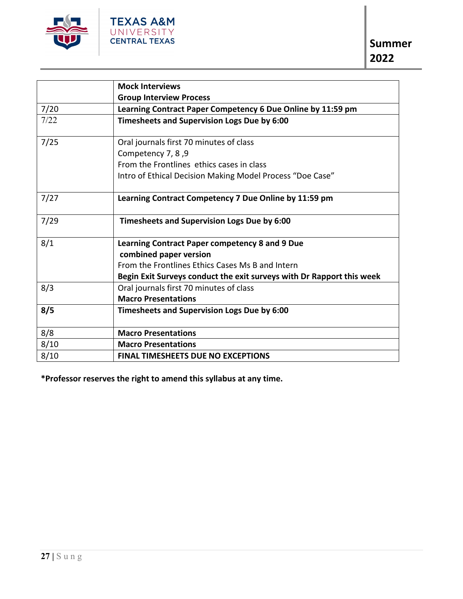

|      | <b>Mock Interviews</b>                                                |
|------|-----------------------------------------------------------------------|
|      | <b>Group Interview Process</b>                                        |
| 7/20 | Learning Contract Paper Competency 6 Due Online by 11:59 pm           |
| 7/22 | Timesheets and Supervision Logs Due by 6:00                           |
| 7/25 | Oral journals first 70 minutes of class                               |
|      | Ompetency 7, 8, 9                                                     |
|      | From the Frontlines ethics cases in class                             |
|      | Intro of Ethical Decision Making Model Process "Doe Case"             |
| 7/27 | Learning Contract Competency 7 Due Online by 11:59 pm                 |
| 7/29 | Timesheets and Supervision Logs Due by 6:00                           |
| 8/1  | Learning Contract Paper competency 8 and 9 Due                        |
|      | combined paper version                                                |
|      | From the Frontlines Ethics Cases Ms B and Intern                      |
|      | Begin Exit Surveys conduct the exit surveys with Dr Rapport this week |
| 8/3  | Oral journals first 70 minutes of class                               |
|      | <b>Macro Presentations</b>                                            |
| 8/5  | Timesheets and Supervision Logs Due by 6:00                           |
| 8/8  | <b>Macro Presentations</b>                                            |
| 8/10 | <b>Macro Presentations</b>                                            |
| 8/10 | <b>FINAL TIMESHEETS DUE NO EXCEPTIONS</b>                             |

**\*Professor reserves the right to amend this syllabus at any time.**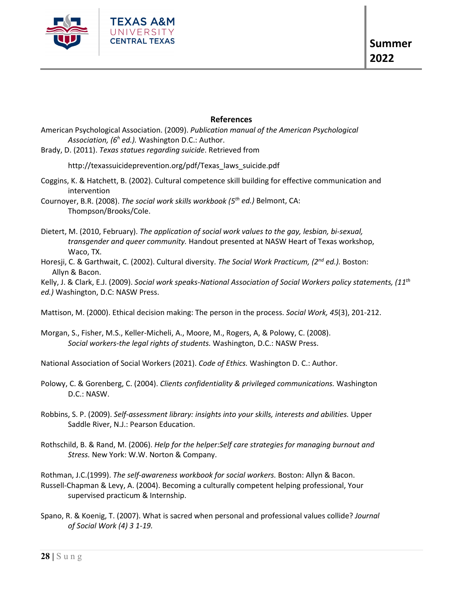

## **References**

- American Psychological Association. (2009). *Publication manual of the American Psychological Association, (6h ed.).* Washington D.C.: Author.
- Brady, D. (2011). *Texas statues regarding suicide*. Retrieved from

http://texassuicideprevention.org/pdf/Texas\_laws\_suicide.pdf

- Coggins, K. & Hatchett, B. (2002). Cultural competence skill building for effective communication and intervention
- Cournoyer, B.R. (2008). *The social work skills workbook (5th ed.)* Belmont, CA: Thompson/Brooks/Cole.
- Dietert, M. (2010, February). *The application of social work values to the gay, lesbian, bi-sexual, transgender and queer community.* Handout presented at NASW Heart of Texas workshop, Waco, TX.
- Horesji, C. & Garthwait, C. (2002). Cultural diversity. *The Social Work Practicum, (2nd ed.).* Boston: Allyn & Bacon.

Kelly, J. & Clark, E.J. (2009). *Social work speaks-National Association of Social Workers policy statements, (11th ed.)* Washington, D.C: NASW Press.

Mattison, M. (2000). Ethical decision making: The person in the process. *Social Work, 45*(3), 201-212.

Morgan, S., Fisher, M.S., Keller-Micheli, A., Moore, M., Rogers, A, & Polowy, C. (2008). *Social workers-the legal rights of students.* Washington, D.C.: NASW Press.

National Association of Social Workers (2021). *Code of Ethics.* Washington D. C.: Author.

- Polowy, C. & Gorenberg, C. (2004). *Clients confidentiality & privileged communications.* Washington D.C.: NASW.
- Robbins, S. P. (2009). *Self-assessment library: insights into your skills, interests and abilities.* Upper Saddle River, N.J.: Pearson Education.
- Rothschild, B. & Rand, M. (2006). *Help for the helper:Self care strategies for managing burnout and Stress.* New York: W.W. Norton & Company.

Rothman, J.C.(1999). *The self-awareness workbook for social workers.* Boston: Allyn & Bacon. Russell-Chapman & Levy, A. (2004). Becoming a culturally competent helping professional, Your supervised practicum & Internship.

Spano, R. & Koenig, T. (2007). What is sacred when personal and professional values collide? *Journal of Social Work (4) 3 1-19.*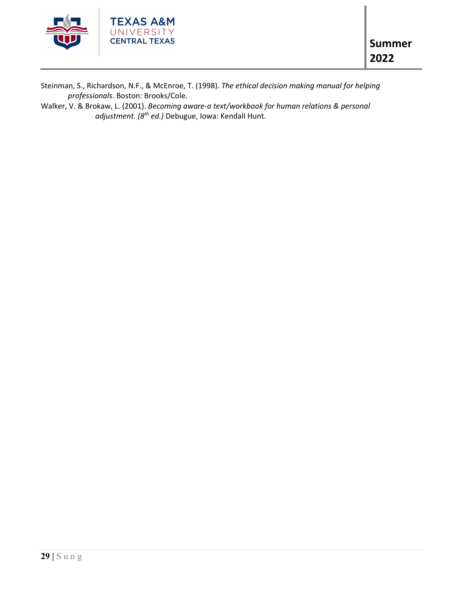

Steinman, S., Richardson, N.F., & McEnroe, T. (1998). *The ethical decision making manual for helping professionals.* Boston: Brooks/Cole.

Walker, V. & Brokaw, L. (2001). *Becoming aware-a text/workbook for human relations & personal adjustment. (8th ed.)* Debugue, Iowa: Kendall Hunt.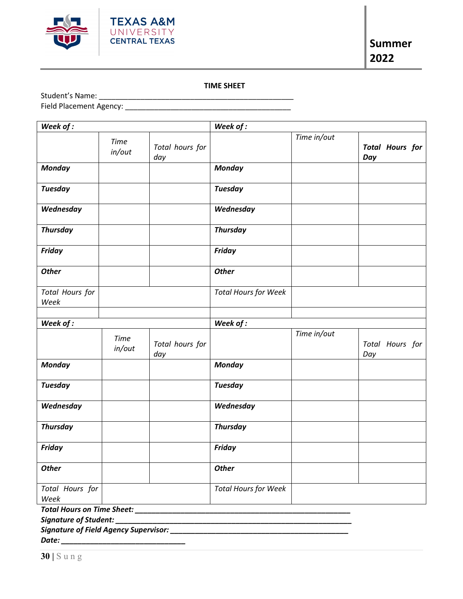

### **TIME SHEET**

Student's Name: \_\_\_\_\_\_\_\_\_\_\_\_\_\_\_\_\_\_\_\_\_\_\_\_\_\_\_\_\_\_\_\_\_\_\_\_\_\_\_\_\_\_\_\_\_\_\_

Field Placement Agency: \_\_\_\_\_\_\_\_\_\_\_\_\_\_\_\_\_\_\_\_\_\_\_\_\_\_\_\_\_\_\_\_\_\_\_\_\_\_\_\_

| Week of:                                                               |                       | Week of :              |                             |             |                               |
|------------------------------------------------------------------------|-----------------------|------------------------|-----------------------------|-------------|-------------------------------|
|                                                                        | <b>Time</b><br>in/out | Total hours for<br>day |                             | Time in/out | <b>Total Hours for</b><br>Day |
| <b>Monday</b>                                                          |                       |                        | <b>Monday</b>               |             |                               |
| <b>Tuesday</b>                                                         |                       |                        | <b>Tuesday</b>              |             |                               |
| Wednesday                                                              |                       |                        | Wednesday                   |             |                               |
| <b>Thursday</b>                                                        |                       |                        | <b>Thursday</b>             |             |                               |
| <b>Friday</b>                                                          |                       |                        | <b>Friday</b>               |             |                               |
| <b>Other</b>                                                           |                       |                        | <b>Other</b>                |             |                               |
| <b>Total Hours for</b><br>Week                                         |                       |                        | <b>Total Hours for Week</b> |             |                               |
| Week of:                                                               |                       |                        | Week of :                   |             |                               |
|                                                                        | <b>Time</b><br>in/out | Total hours for<br>day |                             | Time in/out | Total Hours for<br>Day        |
| <b>Monday</b>                                                          |                       |                        | <b>Monday</b>               |             |                               |
| <b>Tuesday</b>                                                         |                       |                        | <b>Tuesday</b>              |             |                               |
| Wednesday                                                              |                       |                        | Wednesday                   |             |                               |
| <b>Thursday</b>                                                        |                       |                        | <b>Thursday</b>             |             |                               |
| <b>Friday</b>                                                          |                       |                        | <b>Friday</b>               |             |                               |
| <b>Other</b>                                                           |                       |                        | <b>Other</b>                |             |                               |
| Total Hours for<br>Week                                                |                       |                        | <b>Total Hours for Week</b> |             |                               |
| Total Hours on Time Sheet: _________<br>Signature of Student:<br>Date: |                       |                        |                             |             |                               |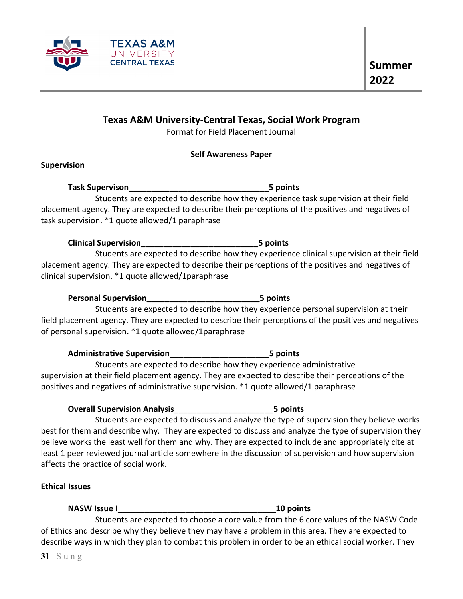

# **Texas A&M University-Central Texas, Social Work Program**

Format for Field Placement Journal

## **Self Awareness Paper**

## **Supervision**

**Task Supervison\_\_\_\_\_\_\_\_\_\_\_\_\_\_\_\_\_\_\_\_\_\_\_\_\_\_\_\_\_\_\_5 points**

Students are expected to describe how they experience task supervision at their field placement agency. They are expected to describe their perceptions of the positives and negatives of task supervision. \*1 quote allowed/1 paraphrase

# **Clinical Supervision\_\_\_\_\_\_\_\_\_\_\_\_\_\_\_\_\_\_\_\_\_\_\_\_\_\_5 points**

Students are expected to describe how they experience clinical supervision at their field placement agency. They are expected to describe their perceptions of the positives and negatives of clinical supervision. \*1 quote allowed/1paraphrase

# **Personal Supervision\_\_\_\_\_\_\_\_\_\_\_\_\_\_\_\_\_\_\_\_\_\_\_\_\_5 points**

Students are expected to describe how they experience personal supervision at their field placement agency. They are expected to describe their perceptions of the positives and negatives of personal supervision. \*1 quote allowed/1paraphrase

# **Administrative Supervision\_\_\_\_\_\_\_\_\_\_\_\_\_\_\_\_\_\_\_\_\_\_5 points**

Students are expected to describe how they experience administrative supervision at their field placement agency. They are expected to describe their perceptions of the positives and negatives of administrative supervision. \*1 quote allowed/1 paraphrase

# **Overall Supervision Analysis\_\_\_\_\_\_\_\_\_\_\_\_\_\_\_\_\_\_\_\_\_\_5 points**

Students are expected to discuss and analyze the type of supervision they believe works best for them and describe why. They are expected to discuss and analyze the type of supervision they believe works the least well for them and why. They are expected to include and appropriately cite at least 1 peer reviewed journal article somewhere in the discussion of supervision and how supervision affects the practice of social work.

**Ethical Issues**

# **NASW Issue I\_\_\_\_\_\_\_\_\_\_\_\_\_\_\_\_\_\_\_\_\_\_\_\_\_\_\_\_\_\_\_\_\_\_\_10 points**

Students are expected to choose a core value from the 6 core values of the NASW Code of Ethics and describe why they believe they may have a problem in this area. They are expected to describe ways in which they plan to combat this problem in order to be an ethical social worker. They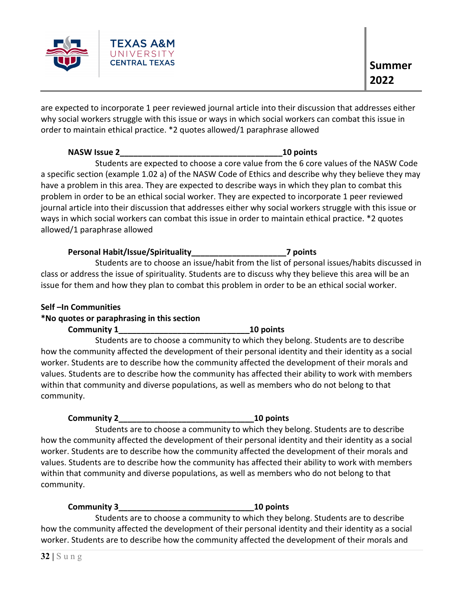

are expected to incorporate 1 peer reviewed journal article into their discussion that addresses either why social workers struggle with this issue or ways in which social workers can combat this issue in order to maintain ethical practice. \*2 quotes allowed/1 paraphrase allowed

## **NASW Issue 2\_\_\_\_\_\_\_\_\_\_\_\_\_\_\_\_\_\_\_\_\_\_\_\_\_\_\_\_\_\_\_\_\_\_\_\_10 points**

Students are expected to choose a core value from the 6 core values of the NASW Code a specific section (example 1.02 a) of the NASW Code of Ethics and describe why they believe they may have a problem in this area. They are expected to describe ways in which they plan to combat this problem in order to be an ethical social worker. They are expected to incorporate 1 peer reviewed journal article into their discussion that addresses either why social workers struggle with this issue or ways in which social workers can combat this issue in order to maintain ethical practice. \*2 quotes allowed/1 paraphrase allowed

## **Personal Habit/Issue/Spirituality\_\_\_\_\_\_\_\_\_\_\_\_\_\_\_\_\_\_\_\_\_7 points**

Students are to choose an issue/habit from the list of personal issues/habits discussed in class or address the issue of spirituality. Students are to discuss why they believe this area will be an issue for them and how they plan to combat this problem in order to be an ethical social worker.

# **Self –In Communities**

# **\*No quotes or paraphrasing in this section**

**Community 1\_\_\_\_\_\_\_\_\_\_\_\_\_\_\_\_\_\_\_\_\_\_\_\_\_\_\_\_\_10 points**

Students are to choose a community to which they belong. Students are to describe how the community affected the development of their personal identity and their identity as a social worker. Students are to describe how the community affected the development of their morals and values. Students are to describe how the community has affected their ability to work with members within that community and diverse populations, as well as members who do not belong to that community.

# **Community 2\_\_\_\_\_\_\_\_\_\_\_\_\_\_\_\_\_\_\_\_\_\_\_\_\_\_\_\_\_\_10 points**

Students are to choose a community to which they belong. Students are to describe how the community affected the development of their personal identity and their identity as a social worker. Students are to describe how the community affected the development of their morals and values. Students are to describe how the community has affected their ability to work with members within that community and diverse populations, as well as members who do not belong to that community.

**Community 3\_\_\_\_\_\_\_\_\_\_\_\_\_\_\_\_\_\_\_\_\_\_\_\_\_\_\_\_\_\_10 points**

Students are to choose a community to which they belong. Students are to describe how the community affected the development of their personal identity and their identity as a social worker. Students are to describe how the community affected the development of their morals and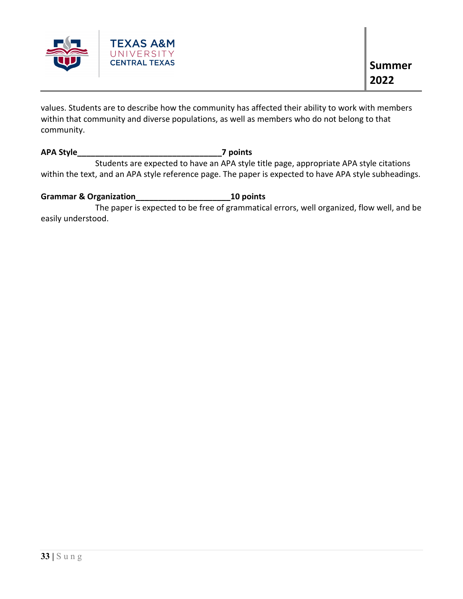

values. Students are to describe how the community has affected their ability to work with members within that community and diverse populations, as well as members who do not belong to that community.

**APA Style\_\_\_\_\_\_\_\_\_\_\_\_\_\_\_\_\_\_\_\_\_\_\_\_\_\_\_\_\_\_\_\_7 points**

Students are expected to have an APA style title page, appropriate APA style citations within the text, and an APA style reference page. The paper is expected to have APA style subheadings.

## **Grammar & Organization\_\_\_\_\_\_\_\_\_\_\_\_\_\_\_\_\_\_\_\_\_10 points**

The paper is expected to be free of grammatical errors, well organized, flow well, and be easily understood.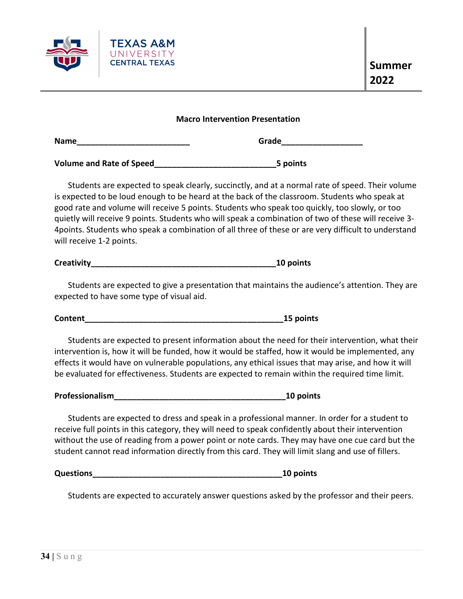

| <b>Macro Intervention Presentation</b>    |                                                                                                                                                                                                                                                                                                                                                                                                                                                                                                                   |  |  |
|-------------------------------------------|-------------------------------------------------------------------------------------------------------------------------------------------------------------------------------------------------------------------------------------------------------------------------------------------------------------------------------------------------------------------------------------------------------------------------------------------------------------------------------------------------------------------|--|--|
|                                           |                                                                                                                                                                                                                                                                                                                                                                                                                                                                                                                   |  |  |
|                                           |                                                                                                                                                                                                                                                                                                                                                                                                                                                                                                                   |  |  |
| will receive 1-2 points.                  | Students are expected to speak clearly, succinctly, and at a normal rate of speed. Their volume<br>is expected to be loud enough to be heard at the back of the classroom. Students who speak at<br>good rate and volume will receive 5 points. Students who speak too quickly, too slowly, or too<br>quietly will receive 9 points. Students who will speak a combination of two of these will receive 3-<br>4points. Students who speak a combination of all three of these or are very difficult to understand |  |  |
| Creativity 10 points                      |                                                                                                                                                                                                                                                                                                                                                                                                                                                                                                                   |  |  |
| expected to have some type of visual aid. | Students are expected to give a presentation that maintains the audience's attention. They are                                                                                                                                                                                                                                                                                                                                                                                                                    |  |  |
| Content                                   |                                                                                                                                                                                                                                                                                                                                                                                                                                                                                                                   |  |  |
|                                           | Students are expected to present information about the need for their intervention, what their<br>intervention is, how it will be funded, how it would be staffed, how it would be implemented, any<br>effects it would have on vulnerable populations, any ethical issues that may arise, and how it will<br>be evaluated for effectiveness. Students are expected to remain within the required time limit.                                                                                                     |  |  |
| Professionalism                           | <b>10 points</b>                                                                                                                                                                                                                                                                                                                                                                                                                                                                                                  |  |  |
|                                           | Students are expected to dress and speak in a professional manner. In order for a student to<br>receive full points in this category, they will need to speak confidently about their intervention<br>without the use of reading from a power point or note cards. They may have one cue card but the<br>student cannot read information directly from this card. They will limit slang and use of fillers.                                                                                                       |  |  |
| <b>Questions</b>                          | <b>10 points 10 points</b>                                                                                                                                                                                                                                                                                                                                                                                                                                                                                        |  |  |

Students are expected to accurately answer questions asked by the professor and their peers.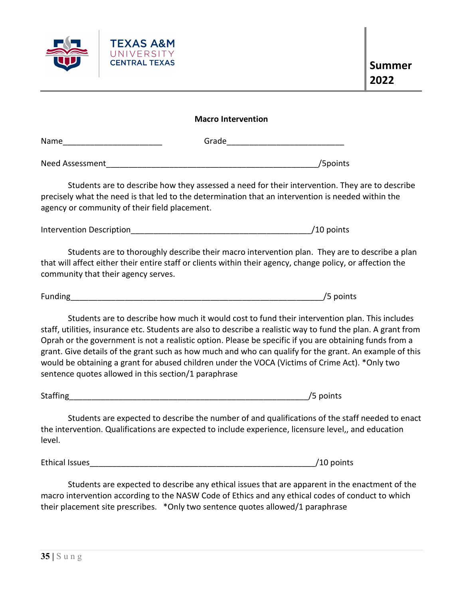

| <b>Macro Intervention</b>                                                                                                                                                                                                      |                                                                                                                                                                                                                                                                                                                                                                                                                                                                                                                                          |  |  |
|--------------------------------------------------------------------------------------------------------------------------------------------------------------------------------------------------------------------------------|------------------------------------------------------------------------------------------------------------------------------------------------------------------------------------------------------------------------------------------------------------------------------------------------------------------------------------------------------------------------------------------------------------------------------------------------------------------------------------------------------------------------------------------|--|--|
|                                                                                                                                                                                                                                |                                                                                                                                                                                                                                                                                                                                                                                                                                                                                                                                          |  |  |
|                                                                                                                                                                                                                                |                                                                                                                                                                                                                                                                                                                                                                                                                                                                                                                                          |  |  |
| agency or community of their field placement.                                                                                                                                                                                  | Students are to describe how they assessed a need for their intervention. They are to describe<br>precisely what the need is that led to the determination that an intervention is needed within the                                                                                                                                                                                                                                                                                                                                     |  |  |
|                                                                                                                                                                                                                                |                                                                                                                                                                                                                                                                                                                                                                                                                                                                                                                                          |  |  |
| community that their agency serves.                                                                                                                                                                                            | Students are to thoroughly describe their macro intervention plan. They are to describe a plan<br>that will affect either their entire staff or clients within their agency, change policy, or affection the                                                                                                                                                                                                                                                                                                                             |  |  |
|                                                                                                                                                                                                                                |                                                                                                                                                                                                                                                                                                                                                                                                                                                                                                                                          |  |  |
| sentence quotes allowed in this section/1 paraphrase                                                                                                                                                                           | Students are to describe how much it would cost to fund their intervention plan. This includes<br>staff, utilities, insurance etc. Students are also to describe a realistic way to fund the plan. A grant from<br>Oprah or the government is not a realistic option. Please be specific if you are obtaining funds from a<br>grant. Give details of the grant such as how much and who can qualify for the grant. An example of this<br>would be obtaining a grant for abused children under the VOCA (Victims of Crime Act). *Only two |  |  |
|                                                                                                                                                                                                                                |                                                                                                                                                                                                                                                                                                                                                                                                                                                                                                                                          |  |  |
| level.                                                                                                                                                                                                                         | Students are expected to describe the number of and qualifications of the staff needed to enact<br>the intervention. Qualifications are expected to include experience, licensure level,, and education                                                                                                                                                                                                                                                                                                                                  |  |  |
| Ethical Issues and the contract of the contract of the contract of the contract of the contract of the contract of the contract of the contract of the contract of the contract of the contract of the contract of the contrac | /10 points                                                                                                                                                                                                                                                                                                                                                                                                                                                                                                                               |  |  |
|                                                                                                                                                                                                                                | Students are expected to describe any ethical issues that are apparent in the enactment of the<br>macro intervention according to the NASW Code of Ethics and any ethical codes of conduct to which                                                                                                                                                                                                                                                                                                                                      |  |  |

their placement site prescribes. \*Only two sentence quotes allowed/1 paraphrase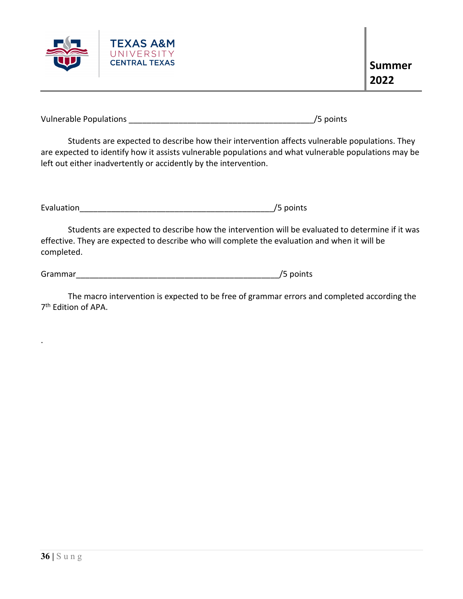

| <b>Vulnerable Populations</b> |  | /5 points |
|-------------------------------|--|-----------|
|-------------------------------|--|-----------|

Students are expected to describe how their intervention affects vulnerable populations. They are expected to identify how it assists vulnerable populations and what vulnerable populations may be left out either inadvertently or accidently by the intervention.

Evaluation Figure 2012 12:00 12:00 12:00 12:00 12:00 12:00 12:00 12:00 12:00 12:00 12:00 12:00 12:00 12:00 12:0

Students are expected to describe how the intervention will be evaluated to determine if it was effective. They are expected to describe who will complete the evaluation and when it will be completed.

Grammar\_\_\_\_\_\_\_\_\_\_\_\_\_\_\_\_\_\_\_\_\_\_\_\_\_\_\_\_\_\_\_\_\_\_\_\_\_\_\_\_\_\_\_\_\_/5 points

The macro intervention is expected to be free of grammar errors and completed according the 7<sup>th</sup> Edition of APA.

.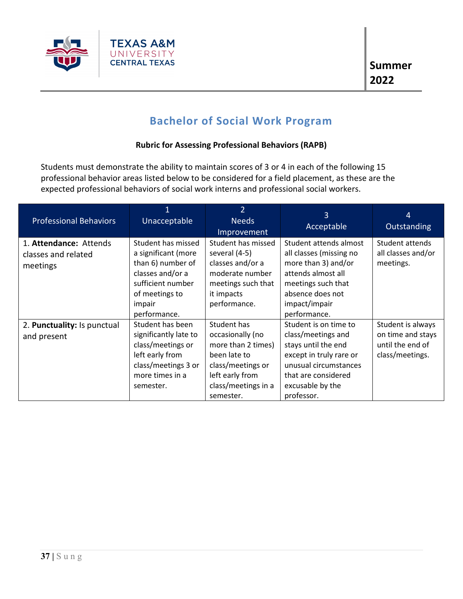

# **Bachelor of Social Work Program**

## **Rubric for Assessing Professional Behaviors (RAPB)**

Students must demonstrate the ability to maintain scores of 3 or 4 in each of the following 15 professional behavior areas listed below to be considered for a field placement, as these are the expected professional behaviors of social work interns and professional social workers.

| <b>Professional Behaviors</b>                             | Unacceptable                                                                                                                                        | $\overline{2}$<br><b>Needs</b><br>Improvement                                                                                                     | 3<br>Acceptable                                                                                                                                                                 | 4<br>Outstanding                                                              |
|-----------------------------------------------------------|-----------------------------------------------------------------------------------------------------------------------------------------------------|---------------------------------------------------------------------------------------------------------------------------------------------------|---------------------------------------------------------------------------------------------------------------------------------------------------------------------------------|-------------------------------------------------------------------------------|
| 1. Attendance: Attends<br>classes and related<br>meetings | Student has missed<br>a significant (more<br>than 6) number of<br>classes and/or a<br>sufficient number<br>of meetings to<br>impair<br>performance. | Student has missed<br>several (4-5)<br>classes and/or a<br>moderate number<br>meetings such that<br>it impacts<br>performance.                    | Student attends almost<br>all classes (missing no<br>more than 3) and/or<br>attends almost all<br>meetings such that<br>absence does not<br>impact/impair<br>performance.       | Student attends<br>all classes and/or<br>meetings.                            |
| 2. Punctuality: Is punctual<br>and present                | Student has been<br>significantly late to<br>class/meetings or<br>left early from<br>class/meetings 3 or<br>more times in a<br>semester.            | Student has<br>occasionally (no<br>more than 2 times)<br>been late to<br>class/meetings or<br>left early from<br>class/meetings in a<br>semester. | Student is on time to<br>class/meetings and<br>stays until the end<br>except in truly rare or<br>unusual circumstances<br>that are considered<br>excusable by the<br>professor. | Student is always<br>on time and stays<br>until the end of<br>class/meetings. |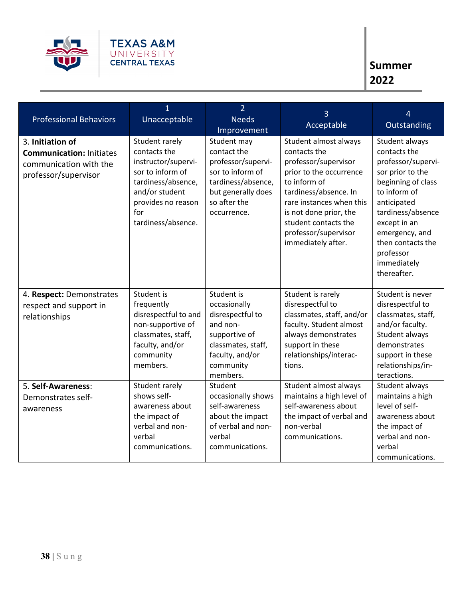



| <b>Professional Behaviors</b>                                                                         | $\mathbf{1}$<br>Unacceptable                                                                                                                                         | $\overline{2}$<br><b>Needs</b><br>Improvement                                                                                                   | $\overline{3}$<br>Acceptable                                                                                                                                                                                                                                  | Outstanding                                                                                                                                                                                                                                          |
|-------------------------------------------------------------------------------------------------------|----------------------------------------------------------------------------------------------------------------------------------------------------------------------|-------------------------------------------------------------------------------------------------------------------------------------------------|---------------------------------------------------------------------------------------------------------------------------------------------------------------------------------------------------------------------------------------------------------------|------------------------------------------------------------------------------------------------------------------------------------------------------------------------------------------------------------------------------------------------------|
| 3. Initiation of<br><b>Communication: Initiates</b><br>communication with the<br>professor/supervisor | Student rarely<br>contacts the<br>instructor/supervi-<br>sor to inform of<br>tardiness/absence,<br>and/or student<br>provides no reason<br>for<br>tardiness/absence. | Student may<br>contact the<br>professor/supervi-<br>sor to inform of<br>tardiness/absence,<br>but generally does<br>so after the<br>occurrence. | Student almost always<br>contacts the<br>professor/supervisor<br>prior to the occurrence<br>to inform of<br>tardiness/absence. In<br>rare instances when this<br>is not done prior, the<br>student contacts the<br>professor/supervisor<br>immediately after. | Student always<br>contacts the<br>professor/supervi-<br>sor prior to the<br>beginning of class<br>to inform of<br>anticipated<br>tardiness/absence<br>except in an<br>emergency, and<br>then contacts the<br>professor<br>immediately<br>thereafter. |
| 4. Respect: Demonstrates<br>respect and support in<br>relationships                                   | Student is<br>frequently<br>disrespectful to and<br>non-supportive of<br>classmates, staff,<br>faculty, and/or<br>community<br>members.                              | Student is<br>occasionally<br>disrespectful to<br>and non-<br>supportive of<br>classmates, staff,<br>faculty, and/or<br>community<br>members.   | Student is rarely<br>disrespectful to<br>classmates, staff, and/or<br>faculty. Student almost<br>always demonstrates<br>support in these<br>relationships/interac-<br>tions.                                                                                  | Student is never<br>disrespectful to<br>classmates, staff,<br>and/or faculty.<br>Student always<br>demonstrates<br>support in these<br>relationships/in-<br>teractions.                                                                              |
| 5. Self-Awareness:<br>Demonstrates self-<br>awareness                                                 | Student rarely<br>shows self-<br>awareness about<br>the impact of<br>verbal and non-<br>verbal<br>communications.                                                    | Student<br>occasionally shows<br>self-awareness<br>about the impact<br>of verbal and non-<br>verbal<br>communications.                          | Student almost always<br>maintains a high level of<br>self-awareness about<br>the impact of verbal and<br>non-verbal<br>communications.                                                                                                                       | Student always<br>maintains a high<br>level of self-<br>awareness about<br>the impact of<br>verbal and non-<br>verbal<br>communications.                                                                                                             |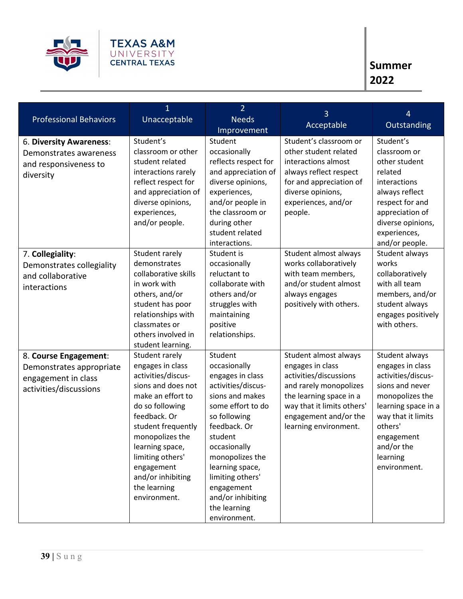



|                                                                                                    | 1                                                                                                                                                                                                                                                                                         | $\overline{2}$                                                                                                                                                                                                                                                                                    | 3                                                                                                                                                                                                        | 4                                                                                                                                                                                                              |
|----------------------------------------------------------------------------------------------------|-------------------------------------------------------------------------------------------------------------------------------------------------------------------------------------------------------------------------------------------------------------------------------------------|---------------------------------------------------------------------------------------------------------------------------------------------------------------------------------------------------------------------------------------------------------------------------------------------------|----------------------------------------------------------------------------------------------------------------------------------------------------------------------------------------------------------|----------------------------------------------------------------------------------------------------------------------------------------------------------------------------------------------------------------|
| <b>Professional Behaviors</b>                                                                      | Unacceptable                                                                                                                                                                                                                                                                              | <b>Needs</b>                                                                                                                                                                                                                                                                                      | Acceptable                                                                                                                                                                                               | Outstanding                                                                                                                                                                                                    |
|                                                                                                    |                                                                                                                                                                                                                                                                                           | Improvement                                                                                                                                                                                                                                                                                       |                                                                                                                                                                                                          |                                                                                                                                                                                                                |
| 6. Diversity Awareness:<br>Demonstrates awareness<br>and responsiveness to<br>diversity            | Student's<br>classroom or other<br>student related<br>interactions rarely<br>reflect respect for<br>and appreciation of<br>diverse opinions,<br>experiences,<br>and/or people.                                                                                                            | Student<br>occasionally<br>reflects respect for<br>and appreciation of<br>diverse opinions,<br>experiences,<br>and/or people in<br>the classroom or<br>during other<br>student related<br>interactions.                                                                                           | Student's classroom or<br>other student related<br>interactions almost<br>always reflect respect<br>for and appreciation of<br>diverse opinions,<br>experiences, and/or<br>people.                       | Student's<br>classroom or<br>other student<br>related<br>interactions<br>always reflect<br>respect for and<br>appreciation of<br>diverse opinions,<br>experiences,<br>and/or people.                           |
| 7. Collegiality:<br>Demonstrates collegiality<br>and collaborative<br>interactions                 | Student rarely<br>demonstrates<br>collaborative skills<br>in work with<br>others, and/or<br>student has poor<br>relationships with<br>classmates or<br>others involved in<br>student learning.                                                                                            | Student is<br>occasionally<br>reluctant to<br>collaborate with<br>others and/or<br>struggles with<br>maintaining<br>positive<br>relationships.                                                                                                                                                    | Student almost always<br>works collaboratively<br>with team members,<br>and/or student almost<br>always engages<br>positively with others.                                                               | Student always<br>works<br>collaboratively<br>with all team<br>members, and/or<br>student always<br>engages positively<br>with others.                                                                         |
| 8. Course Engagement:<br>Demonstrates appropriate<br>engagement in class<br>activities/discussions | Student rarely<br>engages in class<br>activities/discus-<br>sions and does not<br>make an effort to<br>do so following<br>feedback. Or<br>student frequently<br>monopolizes the<br>learning space,<br>limiting others'<br>engagement<br>and/or inhibiting<br>the learning<br>environment. | Student<br>occasionally<br>engages in class<br>activities/discus-<br>sions and makes<br>some effort to do<br>so following<br>feedback. Or<br>student<br>occasionally<br>monopolizes the<br>learning space,<br>limiting others'<br>engagement<br>and/or inhibiting<br>the learning<br>environment. | Student almost always<br>engages in class<br>activities/discussions<br>and rarely monopolizes<br>the learning space in a<br>way that it limits others'<br>engagement and/or the<br>learning environment. | Student always<br>engages in class<br>activities/discus-<br>sions and never<br>monopolizes the<br>learning space in a<br>way that it limits<br>others'<br>engagement<br>and/or the<br>learning<br>environment. |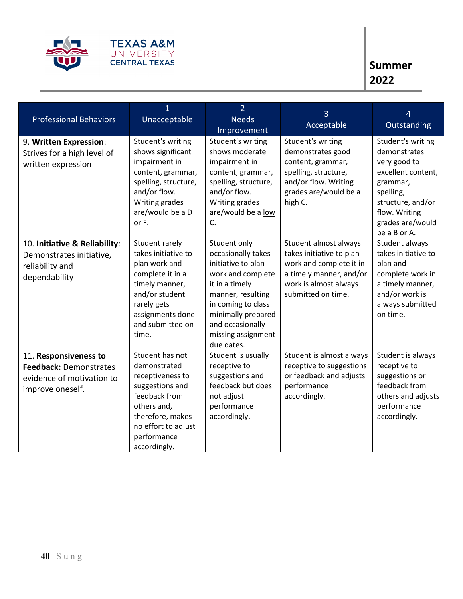



| <b>Professional Behaviors</b>                                                                    | $\overline{1}$<br>Unacceptable                                                                                                                                                   | $\overline{2}$<br><b>Needs</b><br>Improvement                                                                                                                                                                            | 3<br>Acceptable                                                                                                                                        | 4<br><b>Outstanding</b>                                                                                                                                                    |
|--------------------------------------------------------------------------------------------------|----------------------------------------------------------------------------------------------------------------------------------------------------------------------------------|--------------------------------------------------------------------------------------------------------------------------------------------------------------------------------------------------------------------------|--------------------------------------------------------------------------------------------------------------------------------------------------------|----------------------------------------------------------------------------------------------------------------------------------------------------------------------------|
| 9. Written Expression:<br>Strives for a high level of<br>written expression                      | Student's writing<br>shows significant<br>impairment in<br>content, grammar,<br>spelling, structure,<br>and/or flow.<br>Writing grades<br>are/would be a D<br>or F.              | Student's writing<br>shows moderate<br>impairment in<br>content, grammar,<br>spelling, structure,<br>and/or flow.<br>Writing grades<br>are/would be a low<br>C.                                                          | Student's writing<br>demonstrates good<br>content, grammar,<br>spelling, structure,<br>and/or flow. Writing<br>grades are/would be a<br>high C.        | Student's writing<br>demonstrates<br>very good to<br>excellent content,<br>grammar,<br>spelling,<br>structure, and/or<br>flow. Writing<br>grades are/would<br>be a B or A. |
| 10. Initiative & Reliability:<br>Demonstrates initiative,<br>reliability and<br>dependability    | Student rarely<br>takes initiative to<br>plan work and<br>complete it in a<br>timely manner,<br>and/or student<br>rarely gets<br>assignments done<br>and submitted on<br>time.   | Student only<br>occasionally takes<br>initiative to plan<br>work and complete<br>it in a timely<br>manner, resulting<br>in coming to class<br>minimally prepared<br>and occasionally<br>missing assignment<br>due dates. | Student almost always<br>takes initiative to plan<br>work and complete it in<br>a timely manner, and/or<br>work is almost always<br>submitted on time. | Student always<br>takes initiative to<br>plan and<br>complete work in<br>a timely manner,<br>and/or work is<br>always submitted<br>on time.                                |
| 11. Responsiveness to<br>Feedback: Demonstrates<br>evidence of motivation to<br>improve oneself. | Student has not<br>demonstrated<br>receptiveness to<br>suggestions and<br>feedback from<br>others and,<br>therefore, makes<br>no effort to adjust<br>performance<br>accordingly. | Student is usually<br>receptive to<br>suggestions and<br>feedback but does<br>not adjust<br>performance<br>accordingly.                                                                                                  | Student is almost always<br>receptive to suggestions<br>or feedback and adjusts<br>performance<br>accordingly.                                         | Student is always<br>receptive to<br>suggestions or<br>feedback from<br>others and adjusts<br>performance<br>accordingly.                                                  |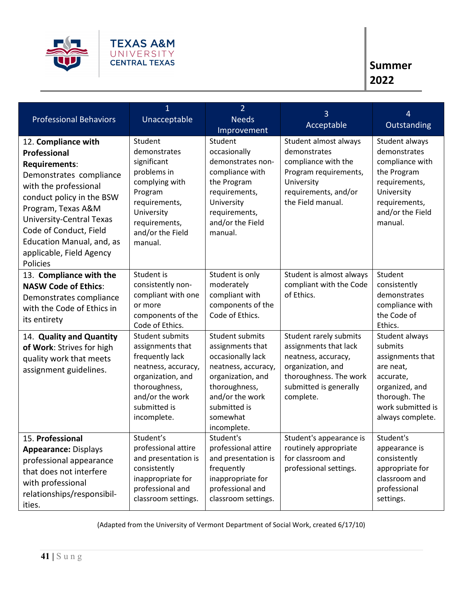



| <b>Professional Behaviors</b>                                                                                                                                                                                                                                                                 | $\mathbf{1}$<br>Unacceptable                                                                                                                                          | $\overline{2}$<br><b>Needs</b><br>Improvement                                                                                                                                       | 3<br>Acceptable                                                                                                                                              | 4<br>Outstanding                                                                                                                                    |
|-----------------------------------------------------------------------------------------------------------------------------------------------------------------------------------------------------------------------------------------------------------------------------------------------|-----------------------------------------------------------------------------------------------------------------------------------------------------------------------|-------------------------------------------------------------------------------------------------------------------------------------------------------------------------------------|--------------------------------------------------------------------------------------------------------------------------------------------------------------|-----------------------------------------------------------------------------------------------------------------------------------------------------|
| 12. Compliance with<br>Professional<br>Requirements:<br>Demonstrates compliance<br>with the professional<br>conduct policy in the BSW<br>Program, Texas A&M<br>University-Central Texas<br>Code of Conduct, Field<br>Education Manual, and, as<br>applicable, Field Agency<br><b>Policies</b> | Student<br>demonstrates<br>significant<br>problems in<br>complying with<br>Program<br>requirements,<br>University<br>requirements,<br>and/or the Field<br>manual.     | Student<br>occasionally<br>demonstrates non-<br>compliance with<br>the Program<br>requirements,<br>University<br>requirements,<br>and/or the Field<br>manual.                       | Student almost always<br>demonstrates<br>compliance with the<br>Program requirements,<br>University<br>requirements, and/or<br>the Field manual.             | Student always<br>demonstrates<br>compliance with<br>the Program<br>requirements,<br>University<br>requirements,<br>and/or the Field<br>manual.     |
| 13. Compliance with the<br><b>NASW Code of Ethics:</b><br>Demonstrates compliance<br>with the Code of Ethics in<br>its entirety                                                                                                                                                               | Student is<br>consistently non-<br>compliant with one<br>or more<br>components of the<br>Code of Ethics.                                                              | Student is only<br>moderately<br>compliant with<br>components of the<br>Code of Ethics.                                                                                             | Student is almost always<br>compliant with the Code<br>of Ethics.                                                                                            | Student<br>consistently<br>demonstrates<br>compliance with<br>the Code of<br>Ethics.                                                                |
| 14. Quality and Quantity<br>of Work: Strives for high<br>quality work that meets<br>assignment guidelines.                                                                                                                                                                                    | Student submits<br>assignments that<br>frequently lack<br>neatness, accuracy,<br>organization, and<br>thoroughness,<br>and/or the work<br>submitted is<br>incomplete. | Student submits<br>assignments that<br>occasionally lack<br>neatness, accuracy,<br>organization, and<br>thoroughness,<br>and/or the work<br>submitted is<br>somewhat<br>incomplete. | Student rarely submits<br>assignments that lack<br>neatness, accuracy,<br>organization, and<br>thoroughness. The work<br>submitted is generally<br>complete. | Student always<br>submits<br>assignments that<br>are neat,<br>accurate,<br>organized, and<br>thorough. The<br>work submitted is<br>always complete. |
| 15. Professional<br><b>Appearance: Displays</b><br>professional appearance<br>that does not interfere<br>with professional<br>relationships/responsibil-<br>ities.                                                                                                                            | Student's<br>professional attire<br>and presentation is<br>consistently<br>inappropriate for<br>professional and<br>classroom settings.                               | Student's<br>professional attire<br>and presentation is<br>frequently<br>inappropriate for<br>professional and<br>classroom settings.                                               | Student's appearance is<br>routinely appropriate<br>for classroom and<br>professional settings.                                                              | Student's<br>appearance is<br>consistently<br>appropriate for<br>classroom and<br>professional<br>settings.                                         |

(Adapted from the University of Vermont Department of Social Work, created 6/17/10)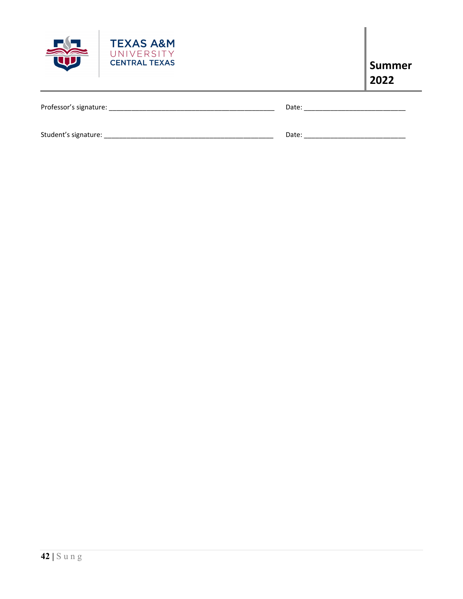

| Professor's signature: | Date |
|------------------------|------|
|                        |      |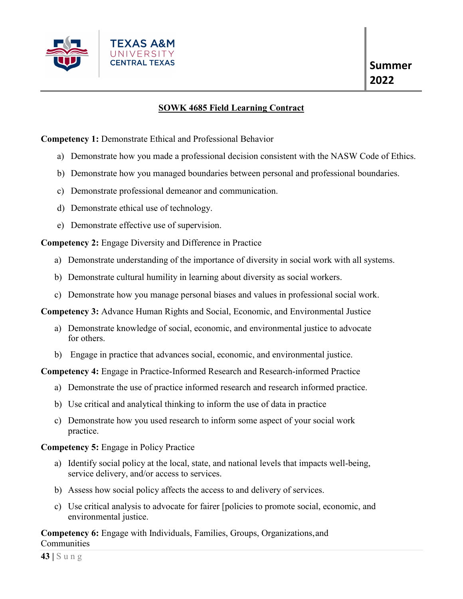

# **SOWK 4685 Field Learning Contract**

**Competency 1:** Demonstrate Ethical and Professional Behavior

- a) Demonstrate how you made a professional decision consistent with the NASW Code of Ethics.
- b) Demonstrate how you managed boundaries between personal and professional boundaries.
- c) Demonstrate professional demeanor and communication.
- d) Demonstrate ethical use of technology.
- e) Demonstrate effective use of supervision.

**Competency 2:** Engage Diversity and Difference in Practice

- a) Demonstrate understanding of the importance of diversity in social work with all systems.
- b) Demonstrate cultural humility in learning about diversity as social workers.
- c) Demonstrate how you manage personal biases and values in professional social work.

**Competency 3:** Advance Human Rights and Social, Economic, and Environmental Justice

- a) Demonstrate knowledge of social, economic, and environmental justice to advocate for others.
- b) Engage in practice that advances social, economic, and environmental justice.

**Competency 4:** Engage in Practice-Informed Research and Research-informed Practice

- a) Demonstrate the use of practice informed research and research informed practice.
- b) Use critical and analytical thinking to inform the use of data in practice
- c) Demonstrate how you used research to inform some aspect of your social work practice.

**Competency 5:** Engage in Policy Practice

- a) Identify social policy at the local, state, and national levels that impacts well-being, service delivery, and/or access to services.
- b) Assess how social policy affects the access to and delivery of services.
- c) Use critical analysis to advocate for fairer [policies to promote social, economic, and environmental justice.

**Competency 6:** Engage with Individuals, Families, Groups, Organizations,and Communities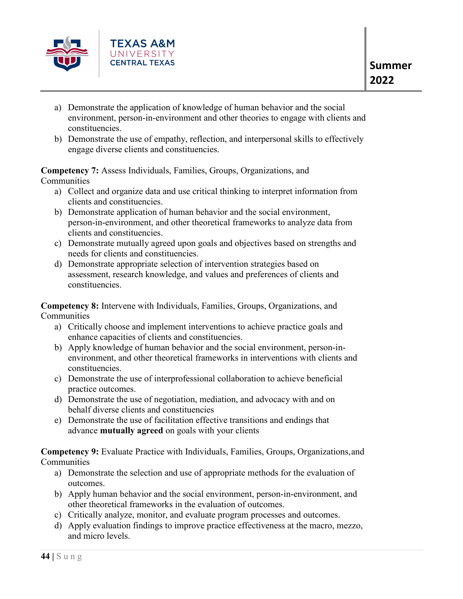

- a) Demonstrate the application of knowledge of human behavior and the social environment, person-in-environment and other theories to engage with clients and constituencies.
- b) Demonstrate the use of empathy, reflection, and interpersonal skills to effectively engage diverse clients and constituencies.

**Competency 7:** Assess Individuals, Families, Groups, Organizations, and Communities

- a) Collect and organize data and use critical thinking to interpret information from clients and constituencies.
- b) Demonstrate application of human behavior and the social environment, person-in-environment, and other theoretical frameworks to analyze data from clients and constituencies.
- c) Demonstrate mutually agreed upon goals and objectives based on strengths and needs for clients and constituencies.
- d) Demonstrate appropriate selection of intervention strategies based on assessment, research knowledge, and values and preferences of clients and constituencies.

**Competency 8:** Intervene with Individuals, Families, Groups, Organizations, and **Communities** 

- a) Critically choose and implement interventions to achieve practice goals and enhance capacities of clients and constituencies.
- b) Apply knowledge of human behavior and the social environment, person-inenvironment, and other theoretical frameworks in interventions with clients and constituencies.
- c) Demonstrate the use of interprofessional collaboration to achieve beneficial practice outcomes.
- d) Demonstrate the use of negotiation, mediation, and advocacy with and on behalf diverse clients and constituencies
- e) Demonstrate the use of facilitation effective transitions and endings that advance **mutually agreed** on goals with your clients

**Competency 9:** Evaluate Practice with Individuals, Families, Groups, Organizations,and Communities

- a) Demonstrate the selection and use of appropriate methods for the evaluation of outcomes.
- b) Apply human behavior and the social environment, person-in-environment, and other theoretical frameworks in the evaluation of outcomes.
- c) Critically analyze, monitor, and evaluate program processes and outcomes.
- d) Apply evaluation findings to improve practice effectiveness at the macro, mezzo, and micro levels.